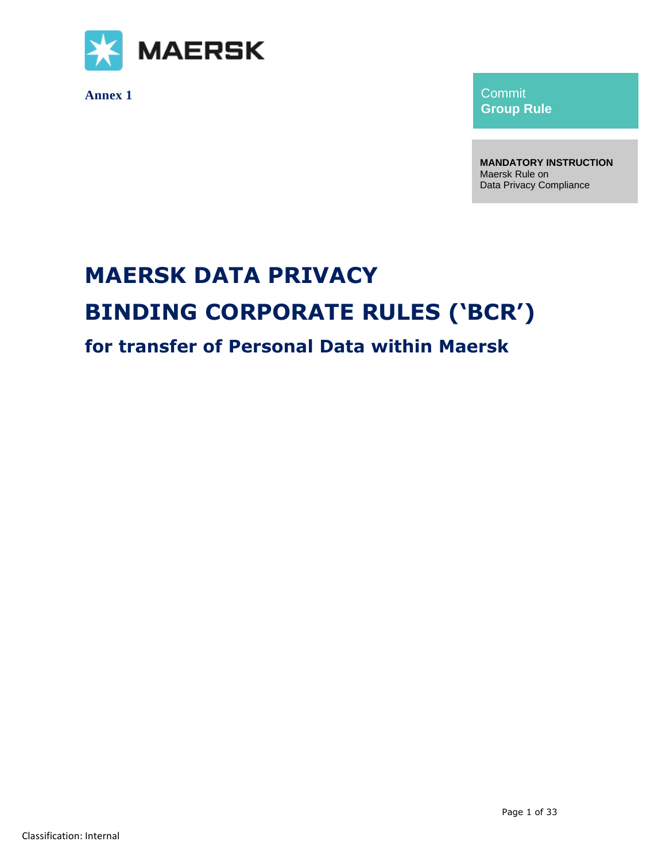

**Annex 1**

Commit **Group Rule**

**MANDATORY INSTRUCTION** Maersk Rule on Data Privacy Compliance

# **MAERSK DATA PRIVACY BINDING CORPORATE RULES ('BCR') for transfer of Personal Data within Maersk**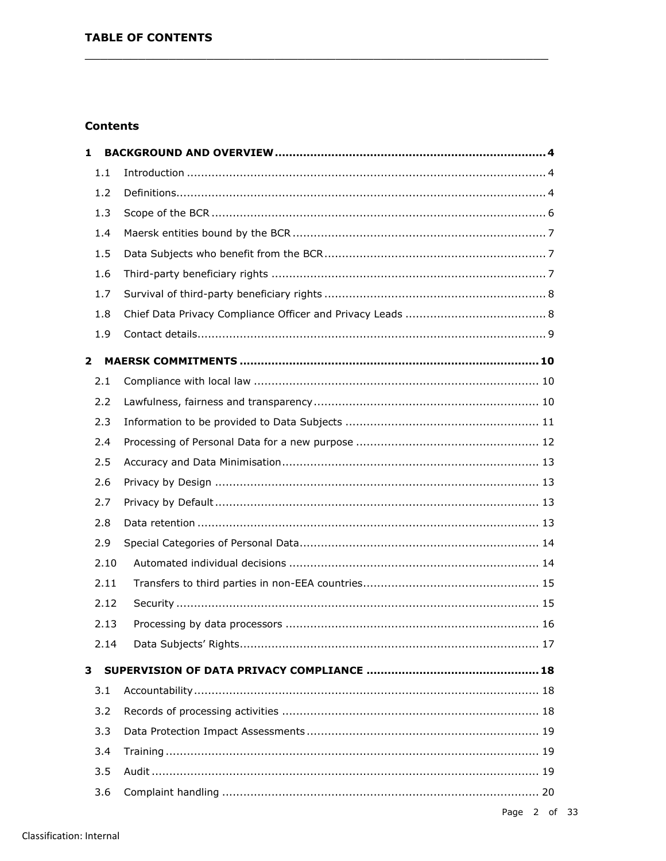# **Contents**

| $\mathbf{1}$ |      |  |
|--------------|------|--|
|              | 1.1  |  |
|              | 1.2  |  |
|              | 1.3  |  |
|              | 1.4  |  |
|              | 1.5  |  |
|              | 1.6  |  |
|              | 1.7  |  |
|              | 1.8  |  |
|              | 1.9  |  |
| $\mathbf{2}$ |      |  |
|              | 2.1  |  |
|              | 2.2  |  |
|              | 2.3  |  |
|              | 2.4  |  |
|              | 2.5  |  |
|              | 2.6  |  |
|              | 2.7  |  |
|              | 2.8  |  |
|              | 2.9  |  |
|              | 2.10 |  |
|              | 2.11 |  |
|              | 2.12 |  |
|              | 2.13 |  |
|              | 2.14 |  |
| 3            |      |  |
|              | 3.1  |  |
|              | 3.2  |  |
|              | 3.3  |  |
|              | 3.4  |  |
|              | 3.5  |  |
|              | 3.6  |  |
|              |      |  |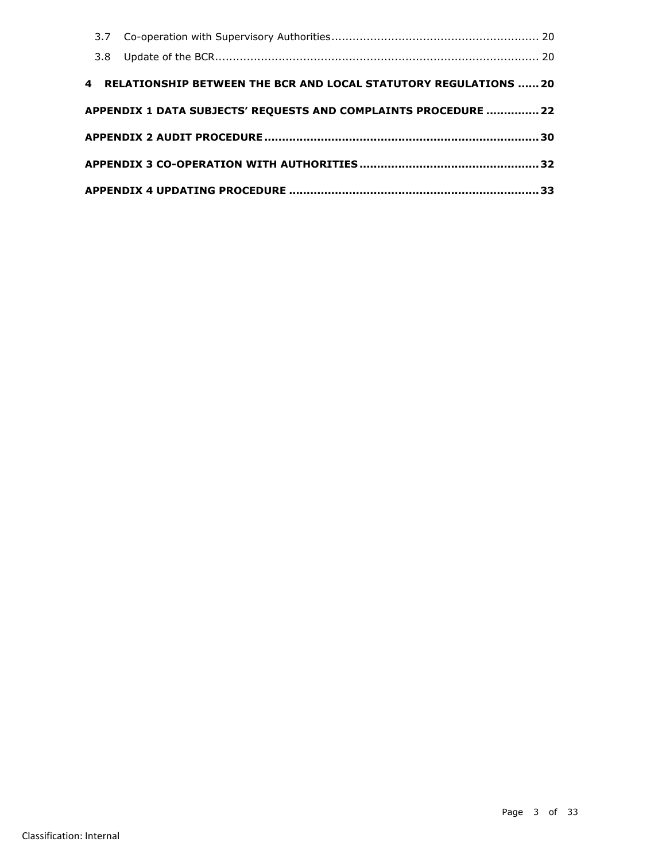| 4 RELATIONSHIP BETWEEN THE BCR AND LOCAL STATUTORY REGULATIONS  20 |  |
|--------------------------------------------------------------------|--|
| APPENDIX 1 DATA SUBJECTS' REQUESTS AND COMPLAINTS PROCEDURE  22    |  |
|                                                                    |  |
|                                                                    |  |
|                                                                    |  |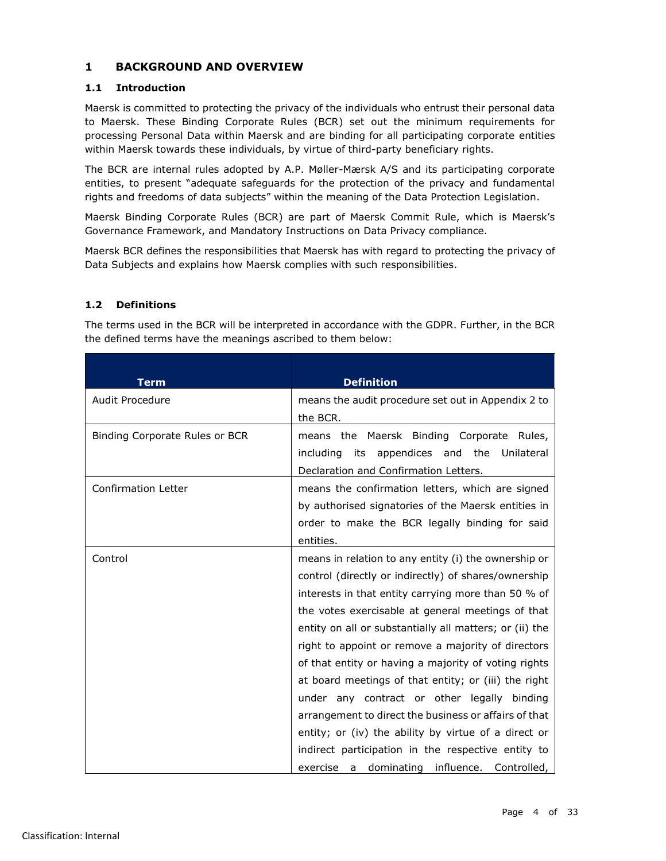# <span id="page-3-0"></span>**1 BACKGROUND AND OVERVIEW**

## <span id="page-3-1"></span>**1.1 Introduction**

Maersk is committed to protecting the privacy of the individuals who entrust their personal data to Maersk. These Binding Corporate Rules (BCR) set out the minimum requirements for processing Personal Data within Maersk and are binding for all participating corporate entities within Maersk towards these individuals, by virtue of third-party beneficiary rights.

The BCR are internal rules adopted by A.P. Møller-Mærsk A/S and its participating corporate entities, to present "adequate safeguards for the protection of the privacy and fundamental rights and freedoms of data subjects" within the meaning of the Data Protection Legislation.

Maersk Binding Corporate Rules (BCR) are part of Maersk Commit Rule, which is Maersk's Governance Framework, and Mandatory Instructions on Data Privacy compliance.

Maersk BCR defines the responsibilities that Maersk has with regard to protecting the privacy of Data Subjects and explains how Maersk complies with such responsibilities.

## <span id="page-3-2"></span>**1.2 Definitions**

The terms used in the BCR will be interpreted in accordance with the GDPR. Further, in the BCR the defined terms have the meanings ascribed to them below:

| <b>Term</b>                    | <b>Definition</b>                                       |
|--------------------------------|---------------------------------------------------------|
| Audit Procedure                | means the audit procedure set out in Appendix 2 to      |
|                                | the BCR.                                                |
| Binding Corporate Rules or BCR | means the Maersk Binding Corporate Rules,               |
|                                | including<br>its appendices and the Unilateral          |
|                                | Declaration and Confirmation Letters.                   |
| <b>Confirmation Letter</b>     | means the confirmation letters, which are signed        |
|                                | by authorised signatories of the Maersk entities in     |
|                                | order to make the BCR legally binding for said          |
|                                | entities.                                               |
|                                |                                                         |
| Control                        | means in relation to any entity (i) the ownership or    |
|                                | control (directly or indirectly) of shares/ownership    |
|                                | interests in that entity carrying more than 50 % of     |
|                                | the votes exercisable at general meetings of that       |
|                                | entity on all or substantially all matters; or (ii) the |
|                                | right to appoint or remove a majority of directors      |
|                                | of that entity or having a majority of voting rights    |
|                                | at board meetings of that entity; or (iii) the right    |
|                                | under any contract or other legally binding             |
|                                | arrangement to direct the business or affairs of that   |
|                                | entity; or (iv) the ability by virtue of a direct or    |
|                                | indirect participation in the respective entity to      |
|                                | exercise a dominating influence. Controlled,            |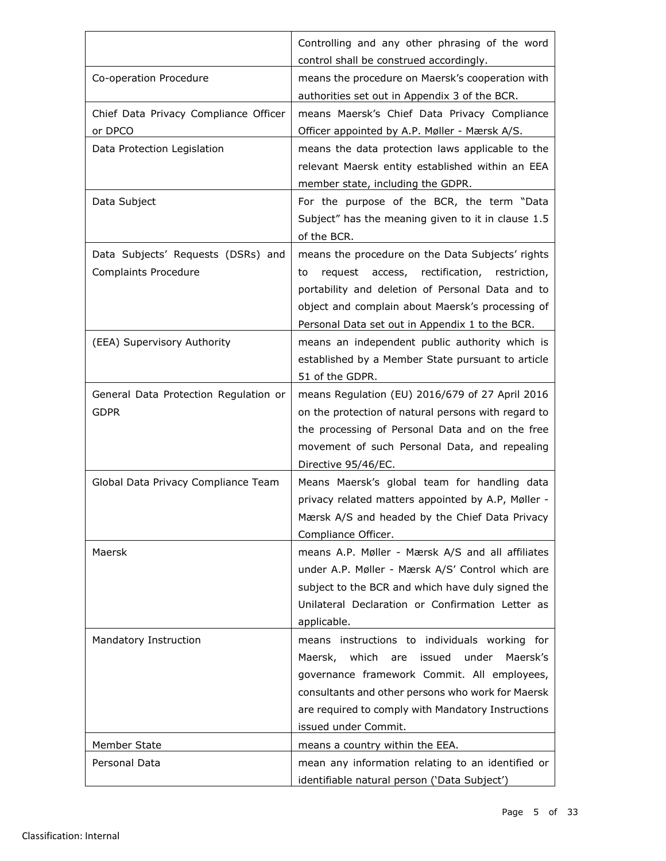|                                       | Controlling and any other phrasing of the word<br>control shall be construed accordingly. |
|---------------------------------------|-------------------------------------------------------------------------------------------|
| Co-operation Procedure                | means the procedure on Maersk's cooperation with                                          |
|                                       | authorities set out in Appendix 3 of the BCR.                                             |
| Chief Data Privacy Compliance Officer | means Maersk's Chief Data Privacy Compliance                                              |
| or DPCO                               |                                                                                           |
|                                       | Officer appointed by A.P. Møller - Mærsk A/S.                                             |
| Data Protection Legislation           | means the data protection laws applicable to the                                          |
|                                       | relevant Maersk entity established within an EEA                                          |
|                                       | member state, including the GDPR.                                                         |
| Data Subject                          | For the purpose of the BCR, the term "Data                                                |
|                                       | Subject" has the meaning given to it in clause 1.5                                        |
|                                       | of the BCR.                                                                               |
| Data Subjects' Requests (DSRs) and    | means the procedure on the Data Subjects' rights                                          |
| <b>Complaints Procedure</b>           | request access, rectification, restriction,<br>to                                         |
|                                       | portability and deletion of Personal Data and to                                          |
|                                       | object and complain about Maersk's processing of                                          |
|                                       | Personal Data set out in Appendix 1 to the BCR.                                           |
| (EEA) Supervisory Authority           | means an independent public authority which is                                            |
|                                       | established by a Member State pursuant to article                                         |
|                                       | 51 of the GDPR.                                                                           |
| General Data Protection Regulation or | means Regulation (EU) 2016/679 of 27 April 2016                                           |
| <b>GDPR</b>                           | on the protection of natural persons with regard to                                       |
|                                       | the processing of Personal Data and on the free                                           |
|                                       | movement of such Personal Data, and repealing                                             |
|                                       | Directive 95/46/EC.                                                                       |
| Global Data Privacy Compliance Team   | Means Maersk's global team for handling data                                              |
|                                       | privacy related matters appointed by A.P, Møller -                                        |
|                                       | Mærsk A/S and headed by the Chief Data Privacy                                            |
|                                       | Compliance Officer.                                                                       |
| Maersk                                | means A.P. Møller - Mærsk A/S and all affiliates                                          |
|                                       | under A.P. Møller - Mærsk A/S' Control which are                                          |
|                                       | subject to the BCR and which have duly signed the                                         |
|                                       | Unilateral Declaration or Confirmation Letter as                                          |
|                                       | applicable.                                                                               |
| Mandatory Instruction                 | means instructions to individuals working for                                             |
|                                       | Maersk, which are issued under<br>Maersk's                                                |
|                                       | governance framework Commit. All employees,                                               |
|                                       | consultants and other persons who work for Maersk                                         |
|                                       | are required to comply with Mandatory Instructions                                        |
|                                       | issued under Commit.                                                                      |
| Member State                          | means a country within the EEA.                                                           |
| Personal Data                         | mean any information relating to an identified or                                         |
|                                       | identifiable natural person ('Data Subject')                                              |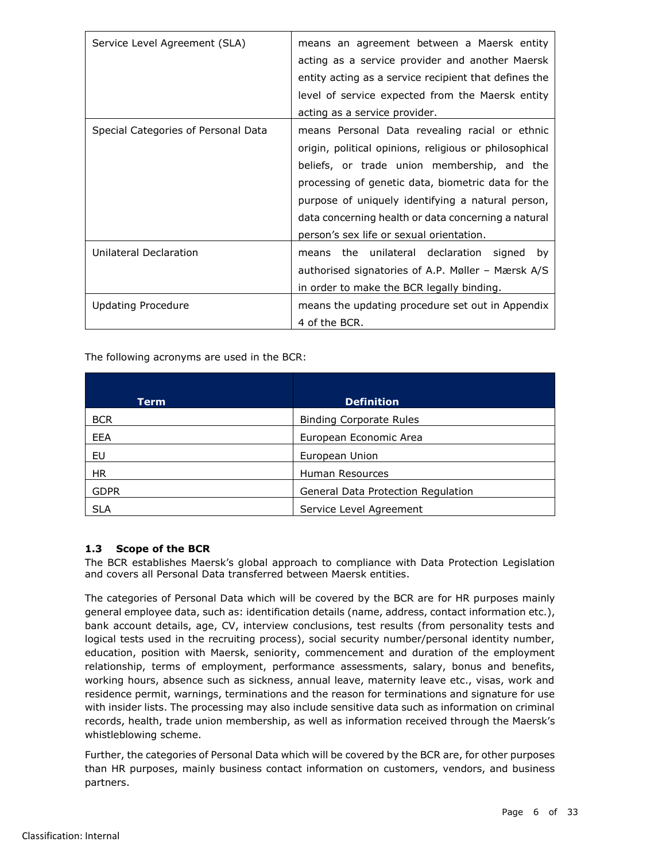| Service Level Agreement (SLA)       | means an agreement between a Maersk entity<br>acting as a service provider and another Maersk<br>entity acting as a service recipient that defines the<br>level of service expected from the Maersk entity<br>acting as a service provider.                                                                                                                           |
|-------------------------------------|-----------------------------------------------------------------------------------------------------------------------------------------------------------------------------------------------------------------------------------------------------------------------------------------------------------------------------------------------------------------------|
| Special Categories of Personal Data | means Personal Data revealing racial or ethnic<br>origin, political opinions, religious or philosophical<br>beliefs, or trade union membership, and the<br>processing of genetic data, biometric data for the<br>purpose of uniquely identifying a natural person,<br>data concerning health or data concerning a natural<br>person's sex life or sexual orientation. |
| Unilateral Declaration              | means the unilateral declaration signed<br>by<br>authorised signatories of A.P. Møller - Mærsk A/S<br>in order to make the BCR legally binding.                                                                                                                                                                                                                       |
| <b>Updating Procedure</b>           | means the updating procedure set out in Appendix<br>4 of the BCR.                                                                                                                                                                                                                                                                                                     |

The following acronyms are used in the BCR:

| Term        | <b>Definition</b>                  |
|-------------|------------------------------------|
| <b>BCR</b>  | <b>Binding Corporate Rules</b>     |
| EEA         | European Economic Area             |
| EU          | European Union                     |
| <b>HR</b>   | Human Resources                    |
| <b>GDPR</b> | General Data Protection Regulation |
| <b>SLA</b>  | Service Level Agreement            |

## <span id="page-5-0"></span>**1.3 Scope of the BCR**

The BCR establishes Maersk's global approach to compliance with Data Protection Legislation and covers all Personal Data transferred between Maersk entities.

The categories of Personal Data which will be covered by the BCR are for HR purposes mainly general employee data, such as: identification details (name, address, contact information etc.), bank account details, age, CV, interview conclusions, test results (from personality tests and logical tests used in the recruiting process), social security number/personal identity number, education, position with Maersk, seniority, commencement and duration of the employment relationship, terms of employment, performance assessments, salary, bonus and benefits, working hours, absence such as sickness, annual leave, maternity leave etc., visas, work and residence permit, warnings, terminations and the reason for terminations and signature for use with insider lists. The processing may also include sensitive data such as information on criminal records, health, trade union membership, as well as information received through the Maersk's whistleblowing scheme.

Further, the categories of Personal Data which will be covered by the BCR are, for other purposes than HR purposes, mainly business contact information on customers, vendors, and business partners.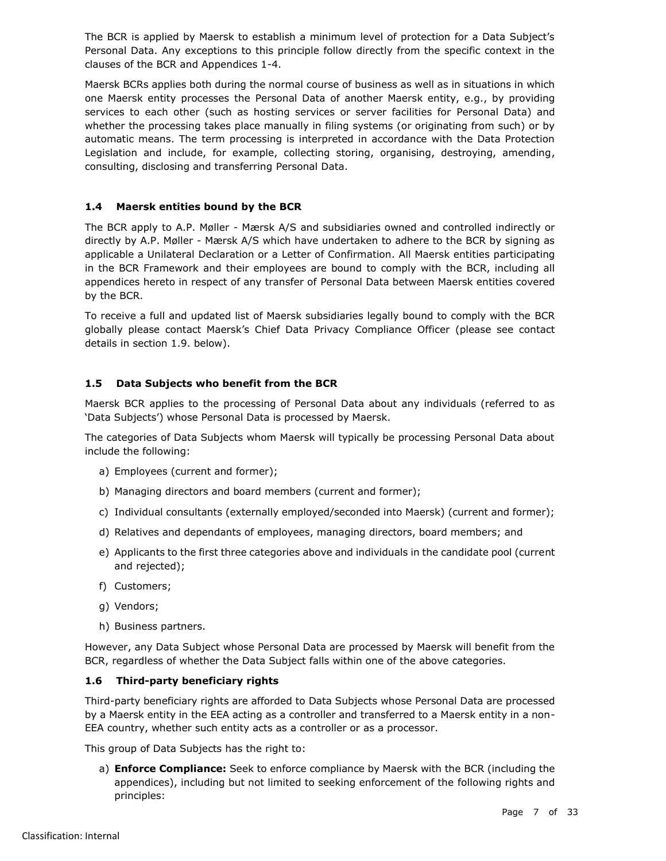The BCR is applied by Maersk to establish a minimum level of protection for a Data Subject's Personal Data. Any exceptions to this principle follow directly from the specific context in the clauses of the BCR and Appendices 1-4.

Maersk BCRs applies both during the normal course of business as well as in situations in which one Maersk entity processes the Personal Data of another Maersk entity, e.g., by providing services to each other (such as hosting services or server facilities for Personal Data) and whether the processing takes place manually in filing systems (or originating from such) or by automatic means. The term processing is interpreted in accordance with the Data Protection Legislation and include, for example, collecting storing, organising, destroying, amending, consulting, disclosing and transferring Personal Data.

## <span id="page-6-0"></span>**1.4 Maersk entities bound by the BCR**

The BCR apply to A.P. Møller - Mærsk A/S and subsidiaries owned and controlled indirectly or directly by A.P. Møller - Mærsk A/S which have undertaken to adhere to the BCR by signing as applicable a Unilateral Declaration or a Letter of Confirmation. All Maersk entities participating in the BCR Framework and their employees are bound to comply with the BCR, including all appendices hereto in respect of any transfer of Personal Data between Maersk entities covered by the BCR.

To receive a full and updated list of Maersk subsidiaries legally bound to comply with the BCR globally please contact Maersk's Chief Data Privacy Compliance Officer (please see contact details in section 1.9. below).

## <span id="page-6-1"></span>**1.5 Data Subjects who benefit from the BCR**

Maersk BCR applies to the processing of Personal Data about any individuals (referred to as 'Data Subjects') whose Personal Data is processed by Maersk.

The categories of Data Subjects whom Maersk will typically be processing Personal Data about include the following:

- a) Employees (current and former);
- b) Managing directors and board members (current and former);
- c) Individual consultants (externally employed/seconded into Maersk) (current and former);
- d) Relatives and dependants of employees, managing directors, board members; and
- e) Applicants to the first three categories above and individuals in the candidate pool (current and rejected);
- f) Customers;
- g) Vendors;
- h) Business partners.

However, any Data Subject whose Personal Data are processed by Maersk will benefit from the BCR, regardless of whether the Data Subject falls within one of the above categories.

## <span id="page-6-2"></span>**1.6 Third-party beneficiary rights**

Third-party beneficiary rights are afforded to Data Subjects whose Personal Data are processed by a Maersk entity in the EEA acting as a controller and transferred to a Maersk entity in a non-EEA country, whether such entity acts as a controller or as a processor.

This group of Data Subjects has the right to:

a) **Enforce Compliance:** Seek to enforce compliance by Maersk with the BCR (including the appendices), including but not limited to seeking enforcement of the following rights and principles: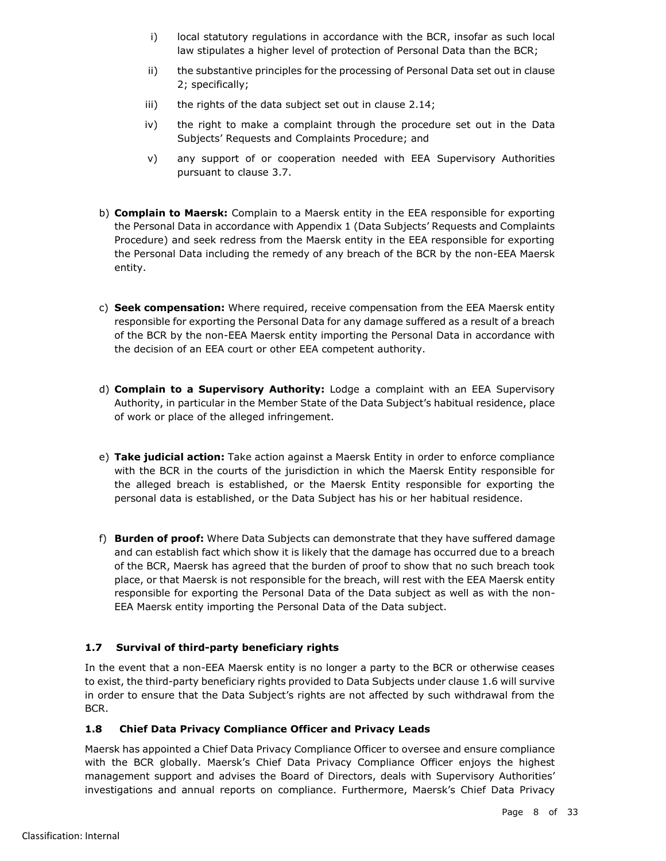- i) local statutory regulations in accordance with the BCR, insofar as such local law stipulates a higher level of protection of Personal Data than the BCR;
- ii) the substantive principles for the processing of Personal Data set out in clause [2;](#page-9-0) specifically;
- iii) the rights of the data subject set out in clause [2.14;](#page-16-0)
- iv) the right to make a complaint through the procedure set out in the Data Subjects' Requests and Complaints Procedure; and
- v) any support of or cooperation needed with EEA Supervisory Authorities pursuant to clause [3.7.](#page-19-1)
- b) **Complain to Maersk:** Complain to a Maersk entity in the EEA responsible for exporting the Personal Data in accordance with Appendix 1 (Data Subjects' Requests and Complaints Procedure) and seek redress from the Maersk entity in the EEA responsible for exporting the Personal Data including the remedy of any breach of the BCR by the non-EEA Maersk entity.
- c) **Seek compensation:** Where required, receive compensation from the EEA Maersk entity responsible for exporting the Personal Data for any damage suffered as a result of a breach of the BCR by the non-EEA Maersk entity importing the Personal Data in accordance with the decision of an EEA court or other EEA competent authority.
- d) **Complain to a Supervisory Authority:** Lodge a complaint with an EEA Supervisory Authority, in particular in the Member State of the Data Subject's habitual residence, place of work or place of the alleged infringement.
- e) **Take judicial action:** Take action against a Maersk Entity in order to enforce compliance with the BCR in the courts of the jurisdiction in which the Maersk Entity responsible for the alleged breach is established, or the Maersk Entity responsible for exporting the personal data is established, or the Data Subject has his or her habitual residence.
- f) **Burden of proof:** Where Data Subjects can demonstrate that they have suffered damage and can establish fact which show it is likely that the damage has occurred due to a breach of the BCR, Maersk has agreed that the burden of proof to show that no such breach took place, or that Maersk is not responsible for the breach, will rest with the EEA Maersk entity responsible for exporting the Personal Data of the Data subject as well as with the non-EEA Maersk entity importing the Personal Data of the Data subject.

# <span id="page-7-0"></span>**1.7 Survival of third-party beneficiary rights**

In the event that a non-EEA Maersk entity is no longer a party to the BCR or otherwise ceases to exist, the third-party beneficiary rights provided to Data Subjects under clause [1.6](#page-6-2) will survive in order to ensure that the Data Subject's rights are not affected by such withdrawal from the BCR.

# <span id="page-7-1"></span>**1.8 Chief Data Privacy Compliance Officer and Privacy Leads**

Maersk has appointed a Chief Data Privacy Compliance Officer to oversee and ensure compliance with the BCR globally. Maersk's Chief Data Privacy Compliance Officer enjoys the highest management support and advises the Board of Directors, deals with Supervisory Authorities' investigations and annual reports on compliance. Furthermore, Maersk's Chief Data Privacy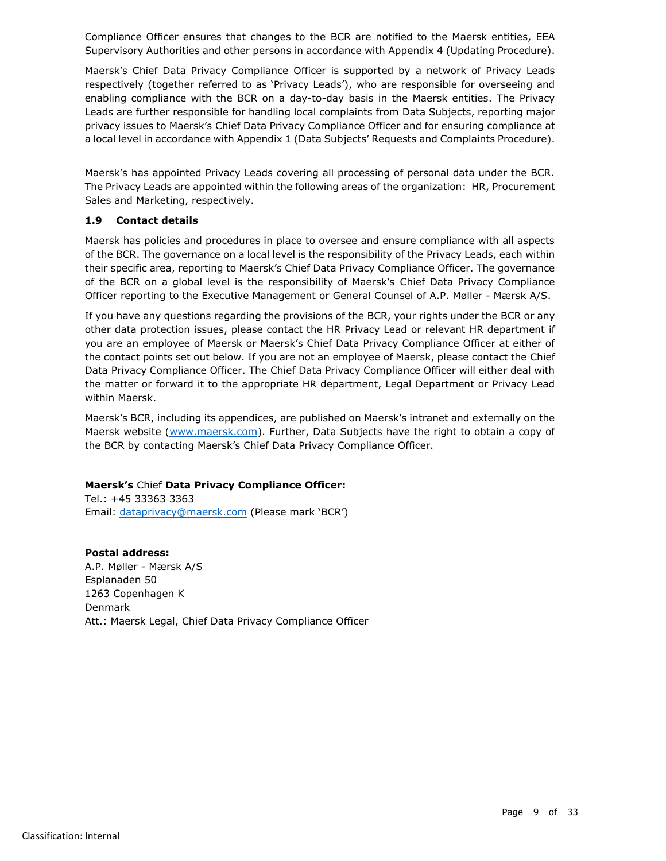Compliance Officer ensures that changes to the BCR are notified to the Maersk entities, EEA Supervisory Authorities and other persons in accordance with Appendix 4 (Updating Procedure).

Maersk's Chief Data Privacy Compliance Officer is supported by a network of Privacy Leads respectively (together referred to as 'Privacy Leads'), who are responsible for overseeing and enabling compliance with the BCR on a day-to-day basis in the Maersk entities. The Privacy Leads are further responsible for handling local complaints from Data Subjects, reporting major privacy issues to Maersk's Chief Data Privacy Compliance Officer and for ensuring compliance at a local level in accordance with Appendix 1 (Data Subjects' Requests and Complaints Procedure).

Maersk's has appointed Privacy Leads covering all processing of personal data under the BCR. The Privacy Leads are appointed within the following areas of the organization: HR, Procurement Sales and Marketing, respectively.

## <span id="page-8-0"></span>**1.9 Contact details**

Maersk has policies and procedures in place to oversee and ensure compliance with all aspects of the BCR. The governance on a local level is the responsibility of the Privacy Leads, each within their specific area, reporting to Maersk's Chief Data Privacy Compliance Officer. The governance of the BCR on a global level is the responsibility of Maersk's Chief Data Privacy Compliance Officer reporting to the Executive Management or General Counsel of A.P. Møller - Mærsk A/S.

If you have any questions regarding the provisions of the BCR, your rights under the BCR or any other data protection issues, please contact the HR Privacy Lead or relevant HR department if you are an employee of Maersk or Maersk's Chief Data Privacy Compliance Officer at either of the contact points set out below. If you are not an employee of Maersk, please contact the Chief Data Privacy Compliance Officer. The Chief Data Privacy Compliance Officer will either deal with the matter or forward it to the appropriate HR department, Legal Department or Privacy Lead within Maersk.

Maersk's BCR, including its appendices, are published on Maersk's intranet and externally on the Maersk website [\(www.maersk.com\)](http://www.maersk.com/). Further, Data Subjects have the right to obtain a copy of the BCR by contacting Maersk's Chief Data Privacy Compliance Officer.

## **Maersk's** Chief **Data Privacy Compliance Officer:**

Tel.: +45 33363 3363 Email: [dataprivacy@maersk.com](mailto:dataprivacy@maersk.com) (Please mark 'BCR')

# **Postal address:**

A.P. Møller - Mærsk A/S Esplanaden 50 1263 Copenhagen K Denmark Att.: Maersk Legal, Chief Data Privacy Compliance Officer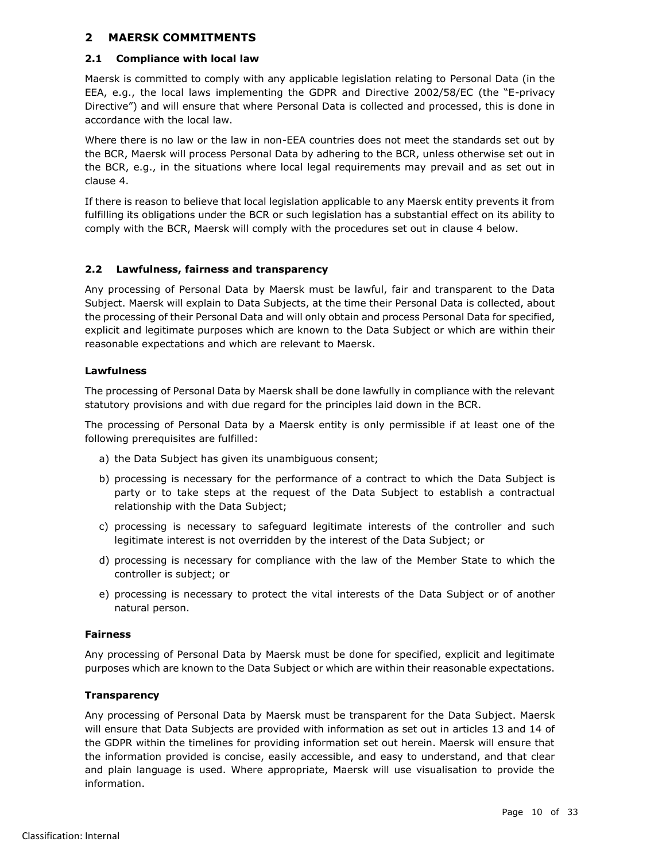## <span id="page-9-0"></span>**2 MAERSK COMMITMENTS**

#### <span id="page-9-1"></span>**2.1 Compliance with local law**

Maersk is committed to comply with any applicable legislation relating to Personal Data (in the EEA, e.g., the local laws implementing the GDPR and Directive 2002/58/EC (the "E-privacy Directive") and will ensure that where Personal Data is collected and processed, this is done in accordance with the local law.

Where there is no law or the law in non-EEA countries does not meet the standards set out by the BCR, Maersk will process Personal Data by adhering to the BCR, unless otherwise set out in the BCR, e.g., in the situations where local legal requirements may prevail and as set out in clause [4.](#page-19-3)

If there is reason to believe that local legislation applicable to any Maersk entity prevents it from fulfilling its obligations under the BCR or such legislation has a substantial effect on its ability to comply with the BCR, Maersk will comply with the procedures set out in clause [4](#page-19-3) below.

## <span id="page-9-2"></span>**2.2 Lawfulness, fairness and transparency**

Any processing of Personal Data by Maersk must be lawful, fair and transparent to the Data Subject. Maersk will explain to Data Subjects, at the time their Personal Data is collected, about the processing of their Personal Data and will only obtain and process Personal Data for specified, explicit and legitimate purposes which are known to the Data Subject or which are within their reasonable expectations and which are relevant to Maersk.

## **Lawfulness**

The processing of Personal Data by Maersk shall be done lawfully in compliance with the relevant statutory provisions and with due regard for the principles laid down in the BCR.

The processing of Personal Data by a Maersk entity is only permissible if at least one of the following prerequisites are fulfilled:

- a) the Data Subject has given its unambiguous consent;
- <span id="page-9-3"></span>b) processing is necessary for the performance of a contract to which the Data Subject is party or to take steps at the request of the Data Subject to establish a contractual relationship with the Data Subject;
- c) processing is necessary to safeguard legitimate interests of the controller and such legitimate interest is not overridden by the interest of the Data Subject; or
- d) processing is necessary for compliance with the law of the Member State to which the controller is subject; or
- e) processing is necessary to protect the vital interests of the Data Subject or of another natural person.

## **Fairness**

Any processing of Personal Data by Maersk must be done for specified, explicit and legitimate purposes which are known to the Data Subject or which are within their reasonable expectations.

## **Transparency**

Any processing of Personal Data by Maersk must be transparent for the Data Subject. Maersk will ensure that Data Subjects are provided with information as set out in articles 13 and 14 of the GDPR within the timelines for providing information set out herein. Maersk will ensure that the information provided is concise, easily accessible, and easy to understand, and that clear and plain language is used. Where appropriate, Maersk will use visualisation to provide the information.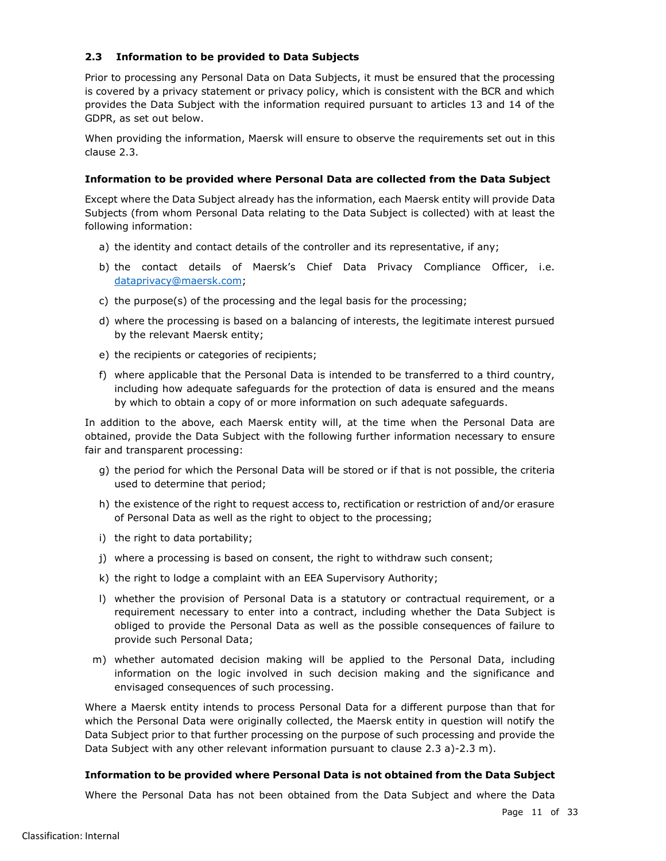## <span id="page-10-0"></span>**2.3 Information to be provided to Data Subjects**

Prior to processing any Personal Data on Data Subjects, it must be ensured that the processing is covered by a privacy statement or privacy policy, which is consistent with the BCR and which provides the Data Subject with the information required pursuant to articles 13 and 14 of the GDPR, as set out below.

When providing the information, Maersk will ensure to observe the requirements set out in this clause [2.3.](#page-10-0)

#### **Information to be provided where Personal Data are collected from the Data Subject**

Except where the Data Subject already has the information, each Maersk entity will provide Data Subjects (from whom Personal Data relating to the Data Subject is collected) with at least the following information:

- <span id="page-10-1"></span>a) the identity and contact details of the controller and its representative, if any;
- b) the contact details of Maersk's Chief Data Privacy Compliance Officer, i.e. [dataprivacy@maersk.com;](mailto:dataprivacy@maersk.com)
- <span id="page-10-4"></span>c) the purpose(s) of the processing and the legal basis for the processing;
- d) where the processing is based on a balancing of interests, the legitimate interest pursued by the relevant Maersk entity;
- e) the recipients or categories of recipients;
- <span id="page-10-3"></span>f) where applicable that the Personal Data is intended to be transferred to a third country, including how adequate safeguards for the protection of data is ensured and the means by which to obtain a copy of or more information on such adequate safeguards.

In addition to the above, each Maersk entity will, at the time when the Personal Data are obtained, provide the Data Subject with the following further information necessary to ensure fair and transparent processing:

- <span id="page-10-5"></span>g) the period for which the Personal Data will be stored or if that is not possible, the criteria used to determine that period;
- h) the existence of the right to request access to, rectification or restriction of and/or erasure of Personal Data as well as the right to object to the processing;
- i) the right to data portability;
- j) where a processing is based on consent, the right to withdraw such consent;
- k) the right to lodge a complaint with an EEA Supervisory Authority;
- l) whether the provision of Personal Data is a statutory or contractual requirement, or a requirement necessary to enter into a contract, including whether the Data Subject is obliged to provide the Personal Data as well as the possible consequences of failure to provide such Personal Data;
- <span id="page-10-2"></span>m) whether automated decision making will be applied to the Personal Data, including information on the logic involved in such decision making and the significance and envisaged consequences of such processing.

Where a Maersk entity intends to process Personal Data for a different purpose than that for which the Personal Data were originally collected, the Maersk entity in question will notify the Data Subject prior to that further processing on the purpose of such processing and provide the Data Subject with any other relevant information pursuant to clause [2.3](#page-10-0) [a\)-](#page-10-1)[2.3](#page-10-0) [m\).](#page-10-2)

#### **Information to be provided where Personal Data is not obtained from the Data Subject**

Where the Personal Data has not been obtained from the Data Subject and where the Data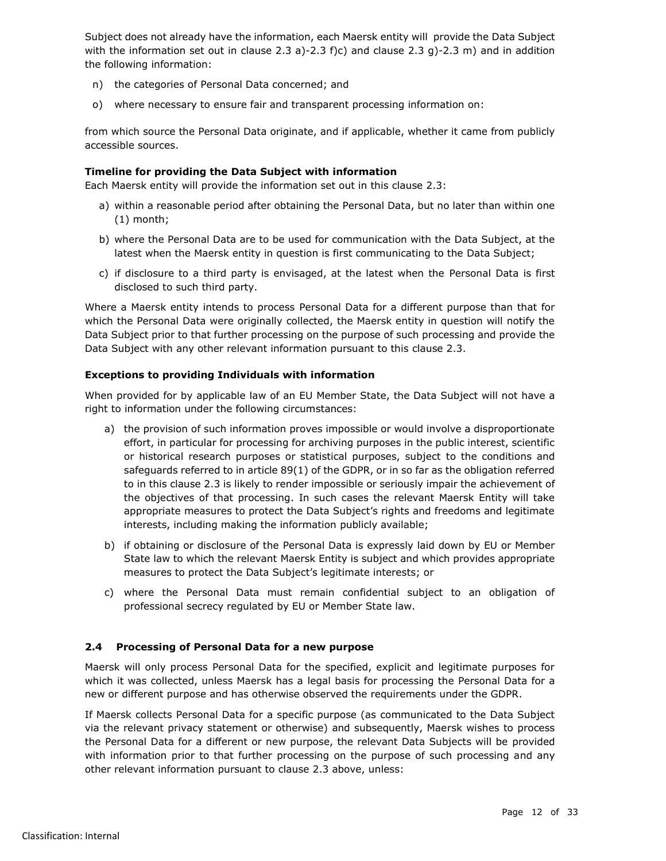Subject does not already have the information, each Maersk entity will provide the Data Subject with the information set out in clause [2.3](#page-10-0) [a\)](#page-10-1)[-2.3](#page-10-0) [f\)](#page-10-3)[c\)](#page-10-4) and clause 2.3 [g\)](#page-10-5)-2.3 [m\)](#page-10-2) and in addition the following information:

- n) the categories of Personal Data concerned; and
- o) where necessary to ensure fair and transparent processing information on:

from which source the Personal Data originate, and if applicable, whether it came from publicly accessible sources.

## **Timeline for providing the Data Subject with information**

Each Maersk entity will provide the information set out in this clause [2.3:](#page-10-0)

- a) within a reasonable period after obtaining the Personal Data, but no later than within one (1) month;
- b) where the Personal Data are to be used for communication with the Data Subject, at the latest when the Maersk entity in question is first communicating to the Data Subject;
- c) if disclosure to a third party is envisaged, at the latest when the Personal Data is first disclosed to such third party.

Where a Maersk entity intends to process Personal Data for a different purpose than that for which the Personal Data were originally collected, the Maersk entity in question will notify the Data Subject prior to that further processing on the purpose of such processing and provide the Data Subject with any other relevant information pursuant to this clause [2.3.](#page-10-0)

## **Exceptions to providing Individuals with information**

When provided for by applicable law of an EU Member State, the Data Subject will not have a right to information under the following circumstances:

- a) the provision of such information proves impossible or would involve a disproportionate effort, in particular for processing for archiving purposes in the public interest, scientific or historical research purposes or statistical purposes, subject to the conditions and safeguards referred to in article 89(1) of the GDPR, or in so far as the obligation referred to in this clause [2.3](#page-10-0) is likely to render impossible or seriously impair the achievement of the objectives of that processing. In such cases the relevant Maersk Entity will take appropriate measures to protect the Data Subject's rights and freedoms and legitimate interests, including making the information publicly available;
- b) if obtaining or disclosure of the Personal Data is expressly laid down by EU or Member State law to which the relevant Maersk Entity is subject and which provides appropriate measures to protect the Data Subject's legitimate interests; or
- c) where the Personal Data must remain confidential subject to an obligation of professional secrecy regulated by EU or Member State law.

## <span id="page-11-0"></span>**2.4 Processing of Personal Data for a new purpose**

Maersk will only process Personal Data for the specified, explicit and legitimate purposes for which it was collected, unless Maersk has a legal basis for processing the Personal Data for a new or different purpose and has otherwise observed the requirements under the GDPR.

If Maersk collects Personal Data for a specific purpose (as communicated to the Data Subject via the relevant privacy statement or otherwise) and subsequently, Maersk wishes to process the Personal Data for a different or new purpose, the relevant Data Subjects will be provided with information prior to that further processing on the purpose of such processing and any other relevant information pursuant to clause [2.3](#page-10-0) above, unless: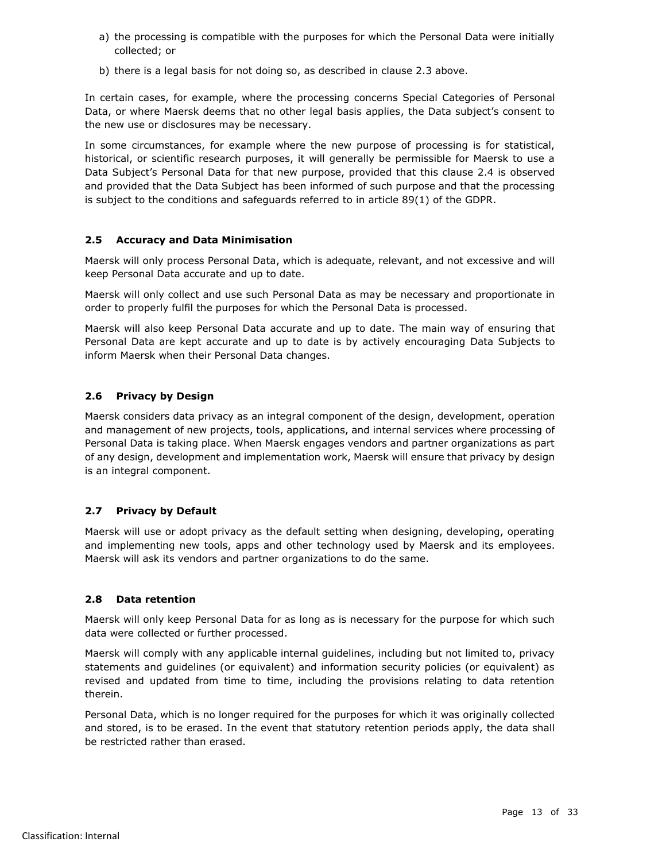- a) the processing is compatible with the purposes for which the Personal Data were initially collected; or
- b) there is a legal basis for not doing so, as described in clause [2.3](#page-10-0) above.

In certain cases, for example, where the processing concerns Special Categories of Personal Data, or where Maersk deems that no other legal basis applies, the Data subject's consent to the new use or disclosures may be necessary.

In some circumstances, for example where the new purpose of processing is for statistical, historical, or scientific research purposes, it will generally be permissible for Maersk to use a Data Subject's Personal Data for that new purpose, provided that this clause [2.4](#page-11-0) is observed and provided that the Data Subject has been informed of such purpose and that the processing is subject to the conditions and safeguards referred to in article 89(1) of the GDPR.

## <span id="page-12-0"></span>**2.5 Accuracy and Data Minimisation**

Maersk will only process Personal Data, which is adequate, relevant, and not excessive and will keep Personal Data accurate and up to date.

Maersk will only collect and use such Personal Data as may be necessary and proportionate in order to properly fulfil the purposes for which the Personal Data is processed.

Maersk will also keep Personal Data accurate and up to date. The main way of ensuring that Personal Data are kept accurate and up to date is by actively encouraging Data Subjects to inform Maersk when their Personal Data changes.

## <span id="page-12-1"></span>**2.6 Privacy by Design**

Maersk considers data privacy as an integral component of the design, development, operation and management of new projects, tools, applications, and internal services where processing of Personal Data is taking place. When Maersk engages vendors and partner organizations as part of any design, development and implementation work, Maersk will ensure that privacy by design is an integral component.

# <span id="page-12-2"></span>**2.7 Privacy by Default**

Maersk will use or adopt privacy as the default setting when designing, developing, operating and implementing new tools, apps and other technology used by Maersk and its employees. Maersk will ask its vendors and partner organizations to do the same.

## <span id="page-12-3"></span>**2.8 Data retention**

Maersk will only keep Personal Data for as long as is necessary for the purpose for which such data were collected or further processed.

Maersk will comply with any applicable internal guidelines, including but not limited to, privacy statements and guidelines (or equivalent) and information security policies (or equivalent) as revised and updated from time to time, including the provisions relating to data retention therein.

Personal Data, which is no longer required for the purposes for which it was originally collected and stored, is to be erased. In the event that statutory retention periods apply, the data shall be restricted rather than erased.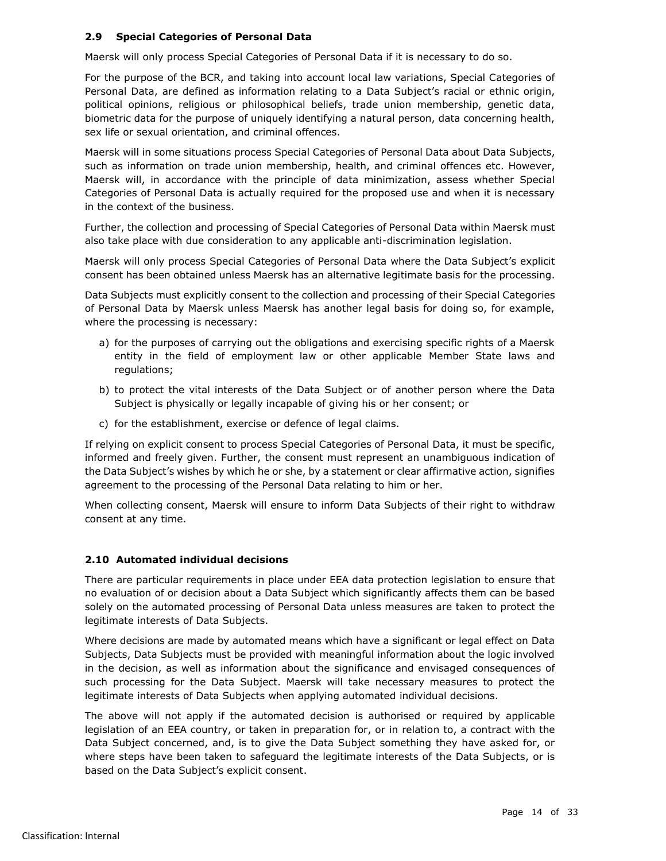## <span id="page-13-0"></span>**2.9 Special Categories of Personal Data**

Maersk will only process Special Categories of Personal Data if it is necessary to do so.

For the purpose of the BCR, and taking into account local law variations, Special Categories of Personal Data, are defined as information relating to a Data Subject's racial or ethnic origin, political opinions, religious or philosophical beliefs, trade union membership, genetic data, biometric data for the purpose of uniquely identifying a natural person, data concerning health, sex life or sexual orientation, and criminal offences.

Maersk will in some situations process Special Categories of Personal Data about Data Subjects, such as information on trade union membership, health, and criminal offences etc. However, Maersk will, in accordance with the principle of data minimization, assess whether Special Categories of Personal Data is actually required for the proposed use and when it is necessary in the context of the business.

Further, the collection and processing of Special Categories of Personal Data within Maersk must also take place with due consideration to any applicable anti-discrimination legislation.

Maersk will only process Special Categories of Personal Data where the Data Subject's explicit consent has been obtained unless Maersk has an alternative legitimate basis for the processing.

Data Subjects must explicitly consent to the collection and processing of their Special Categories of Personal Data by Maersk unless Maersk has another legal basis for doing so, for example, where the processing is necessary:

- a) for the purposes of carrying out the obligations and exercising specific rights of a Maersk entity in the field of employment law or other applicable Member State laws and regulations;
- b) to protect the vital interests of the Data Subject or of another person where the Data Subject is physically or legally incapable of giving his or her consent; or
- c) for the establishment, exercise or defence of legal claims.

If relying on explicit consent to process Special Categories of Personal Data, it must be specific, informed and freely given. Further, the consent must represent an unambiguous indication of the Data Subject's wishes by which he or she, by a statement or clear affirmative action, signifies agreement to the processing of the Personal Data relating to him or her.

When collecting consent, Maersk will ensure to inform Data Subjects of their right to withdraw consent at any time.

## <span id="page-13-1"></span>**2.10 Automated individual decisions**

There are particular requirements in place under EEA data protection legislation to ensure that no evaluation of or decision about a Data Subject which significantly affects them can be based solely on the automated processing of Personal Data unless measures are taken to protect the legitimate interests of Data Subjects.

Where decisions are made by automated means which have a significant or legal effect on Data Subjects, Data Subjects must be provided with meaningful information about the logic involved in the decision, as well as information about the significance and envisaged consequences of such processing for the Data Subject. Maersk will take necessary measures to protect the legitimate interests of Data Subjects when applying automated individual decisions.

The above will not apply if the automated decision is authorised or required by applicable legislation of an EEA country, or taken in preparation for, or in relation to, a contract with the Data Subject concerned, and, is to give the Data Subject something they have asked for, or where steps have been taken to safeguard the legitimate interests of the Data Subjects, or is based on the Data Subject's explicit consent.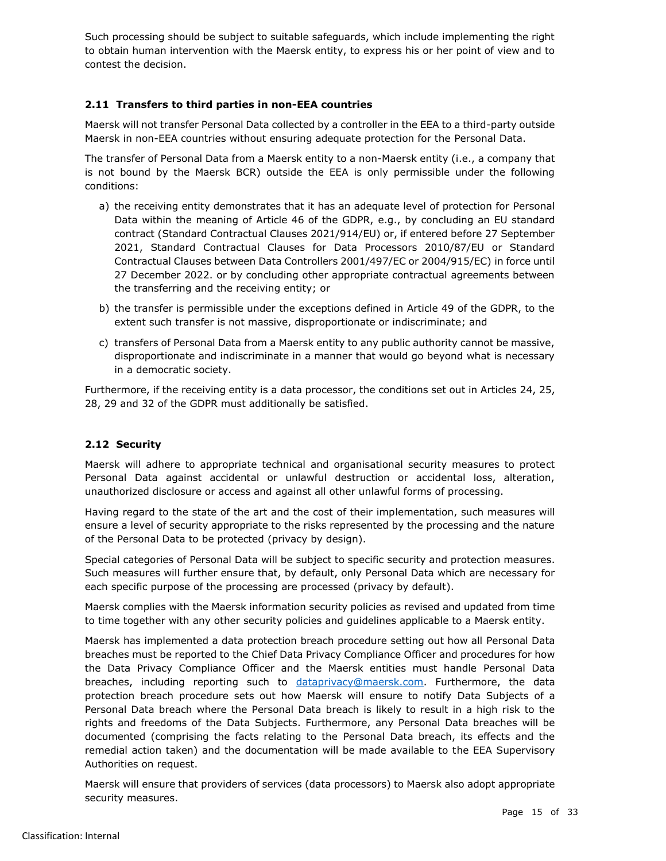Such processing should be subject to suitable safeguards, which include implementing the right to obtain human intervention with the Maersk entity, to express his or her point of view and to contest the decision.

## <span id="page-14-0"></span>**2.11 Transfers to third parties in non-EEA countries**

Maersk will not transfer Personal Data collected by a controller in the EEA to a third-party outside Maersk in non-EEA countries without ensuring adequate protection for the Personal Data.

The transfer of Personal Data from a Maersk entity to a non-Maersk entity (i.e., a company that is not bound by the Maersk BCR) outside the EEA is only permissible under the following conditions:

- a) the receiving entity demonstrates that it has an adequate level of protection for Personal Data within the meaning of Article 46 of the GDPR, e.g., by concluding an EU standard contract (Standard Contractual Clauses 2021/914/EU) or, if entered before 27 September 2021, Standard Contractual Clauses for Data Processors 2010/87/EU or Standard Contractual Clauses between Data Controllers 2001/497/EC or 2004/915/EC) in force until 27 December 2022. or by concluding other appropriate contractual agreements between the transferring and the receiving entity; or
- b) the transfer is permissible under the exceptions defined in Article 49 of the GDPR, to the extent such transfer is not massive, disproportionate or indiscriminate; and
- c) transfers of Personal Data from a Maersk entity to any public authority cannot be massive, disproportionate and indiscriminate in a manner that would go beyond what is necessary in a democratic society.

Furthermore, if the receiving entity is a data processor, the conditions set out in Articles 24, 25, 28, 29 and 32 of the GDPR must additionally be satisfied.

## <span id="page-14-1"></span>**2.12 Security**

Maersk will adhere to appropriate technical and organisational security measures to protect Personal Data against accidental or unlawful destruction or accidental loss, alteration, unauthorized disclosure or access and against all other unlawful forms of processing.

Having regard to the state of the art and the cost of their implementation, such measures will ensure a level of security appropriate to the risks represented by the processing and the nature of the Personal Data to be protected (privacy by design).

Special categories of Personal Data will be subject to specific security and protection measures. Such measures will further ensure that, by default, only Personal Data which are necessary for each specific purpose of the processing are processed (privacy by default).

Maersk complies with the Maersk information security policies as revised and updated from time to time together with any other security policies and guidelines applicable to a Maersk entity.

Maersk has implemented a data protection breach procedure setting out how all Personal Data breaches must be reported to the Chief Data Privacy Compliance Officer and procedures for how the Data Privacy Compliance Officer and the Maersk entities must handle Personal Data breaches, including reporting such to [dataprivacy@maersk.com.](mailto:dataprivacy@maersk.com) Furthermore, the data protection breach procedure sets out how Maersk will ensure to notify Data Subjects of a Personal Data breach where the Personal Data breach is likely to result in a high risk to the rights and freedoms of the Data Subjects. Furthermore, any Personal Data breaches will be documented (comprising the facts relating to the Personal Data breach, its effects and the remedial action taken) and the documentation will be made available to the EEA Supervisory Authorities on request.

Maersk will ensure that providers of services (data processors) to Maersk also adopt appropriate security measures.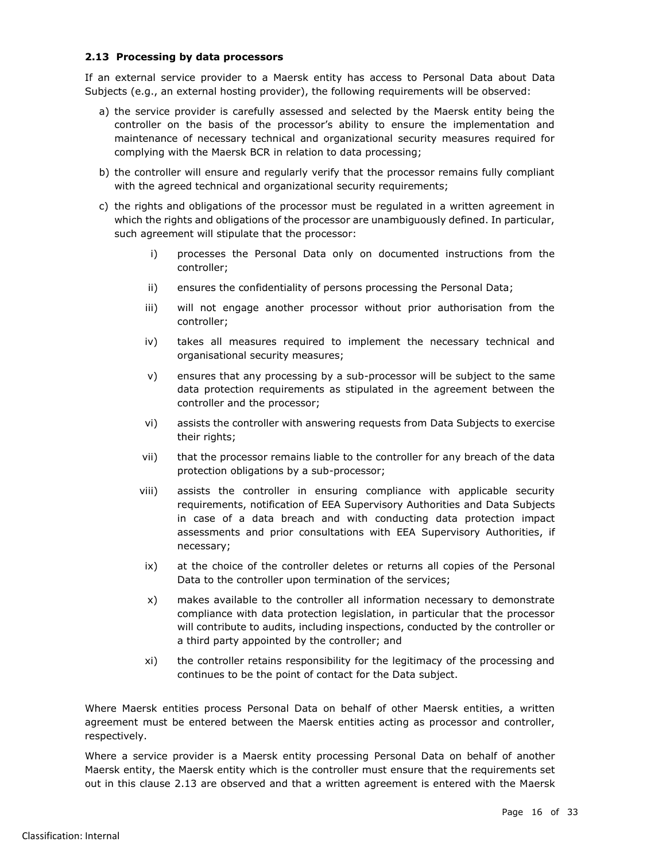## <span id="page-15-0"></span>**2.13 Processing by data processors**

If an external service provider to a Maersk entity has access to Personal Data about Data Subjects (e.g., an external hosting provider), the following requirements will be observed:

- a) the service provider is carefully assessed and selected by the Maersk entity being the controller on the basis of the processor's ability to ensure the implementation and maintenance of necessary technical and organizational security measures required for complying with the Maersk BCR in relation to data processing;
- b) the controller will ensure and regularly verify that the processor remains fully compliant with the agreed technical and organizational security requirements;
- c) the rights and obligations of the processor must be regulated in a written agreement in which the rights and obligations of the processor are unambiguously defined. In particular, such agreement will stipulate that the processor:
	- i) processes the Personal Data only on documented instructions from the controller;
	- ii) ensures the confidentiality of persons processing the Personal Data;
	- iii) will not engage another processor without prior authorisation from the controller;
	- iv) takes all measures required to implement the necessary technical and organisational security measures;
	- v) ensures that any processing by a sub-processor will be subject to the same data protection requirements as stipulated in the agreement between the controller and the processor;
	- vi) assists the controller with answering requests from Data Subjects to exercise their rights;
	- vii) that the processor remains liable to the controller for any breach of the data protection obligations by a sub-processor;
	- viii) assists the controller in ensuring compliance with applicable security requirements, notification of EEA Supervisory Authorities and Data Subjects in case of a data breach and with conducting data protection impact assessments and prior consultations with EEA Supervisory Authorities, if necessary;
	- ix) at the choice of the controller deletes or returns all copies of the Personal Data to the controller upon termination of the services;
	- x) makes available to the controller all information necessary to demonstrate compliance with data protection legislation, in particular that the processor will contribute to audits, including inspections, conducted by the controller or a third party appointed by the controller; and
	- xi) the controller retains responsibility for the legitimacy of the processing and continues to be the point of contact for the Data subject.

Where Maersk entities process Personal Data on behalf of other Maersk entities, a written agreement must be entered between the Maersk entities acting as processor and controller, respectively.

Where a service provider is a Maersk entity processing Personal Data on behalf of another Maersk entity, the Maersk entity which is the controller must ensure that the requirements set out in this clause [2.13](#page-15-0) are observed and that a written agreement is entered with the Maersk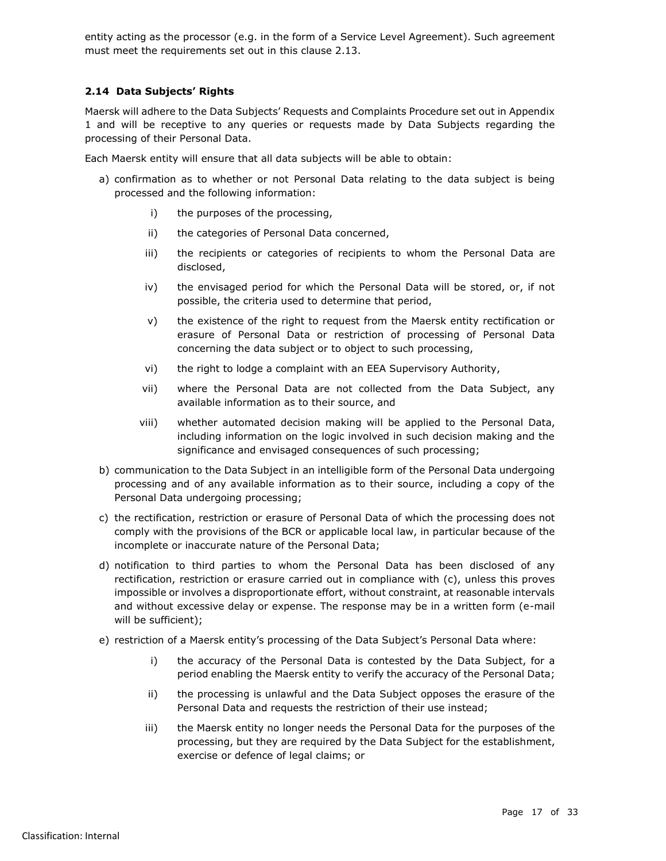entity acting as the processor (e.g. in the form of a Service Level Agreement). Such agreement must meet the requirements set out in this clause [2.13.](#page-15-0)

#### <span id="page-16-0"></span>**2.14 Data Subjects' Rights**

Maersk will adhere to the Data Subjects' Requests and Complaints Procedure set out in Appendix 1 and will be receptive to any queries or requests made by Data Subjects regarding the processing of their Personal Data.

Each Maersk entity will ensure that all data subjects will be able to obtain:

- a) confirmation as to whether or not Personal Data relating to the data subject is being processed and the following information:
	- i) the purposes of the processing,
	- ii) the categories of Personal Data concerned,
	- iii) the recipients or categories of recipients to whom the Personal Data are disclosed,
	- iv) the envisaged period for which the Personal Data will be stored, or, if not possible, the criteria used to determine that period,
	- v) the existence of the right to request from the Maersk entity rectification or erasure of Personal Data or restriction of processing of Personal Data concerning the data subject or to object to such processing,
	- vi) the right to lodge a complaint with an EEA Supervisory Authority,
	- vii) where the Personal Data are not collected from the Data Subject, any available information as to their source, and
	- viii) whether automated decision making will be applied to the Personal Data, including information on the logic involved in such decision making and the significance and envisaged consequences of such processing;
- b) communication to the Data Subject in an intelligible form of the Personal Data undergoing processing and of any available information as to their source, including a copy of the Personal Data undergoing processing;
- c) the rectification, restriction or erasure of Personal Data of which the processing does not comply with the provisions of the BCR or applicable local law, in particular because of the incomplete or inaccurate nature of the Personal Data;
- d) notification to third parties to whom the Personal Data has been disclosed of any rectification, restriction or erasure carried out in compliance with (c), unless this proves impossible or involves a disproportionate effort, without constraint, at reasonable intervals and without excessive delay or expense. The response may be in a written form (e-mail will be sufficient);
- e) restriction of a Maersk entity's processing of the Data Subject's Personal Data where:
	- i) the accuracy of the Personal Data is contested by the Data Subject, for a period enabling the Maersk entity to verify the accuracy of the Personal Data;
	- ii) the processing is unlawful and the Data Subject opposes the erasure of the Personal Data and requests the restriction of their use instead;
	- iii) the Maersk entity no longer needs the Personal Data for the purposes of the processing, but they are required by the Data Subject for the establishment, exercise or defence of legal claims; or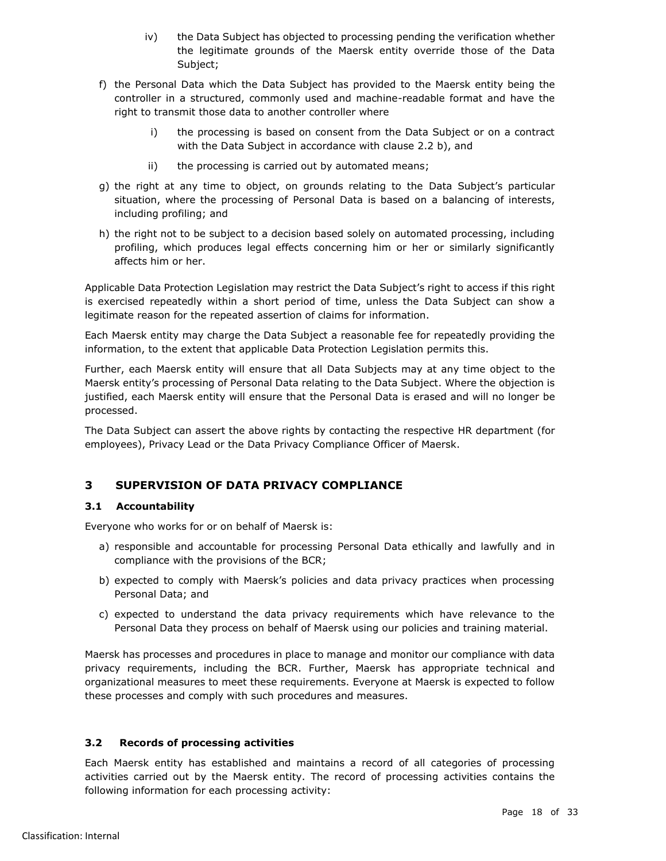- iv) the Data Subject has objected to processing pending the verification whether the legitimate grounds of the Maersk entity override those of the Data Subject;
- <span id="page-17-3"></span>f) the Personal Data which the Data Subject has provided to the Maersk entity being the controller in a structured, commonly used and machine-readable format and have the right to transmit those data to another controller where
	- i) the processing is based on consent from the Data Subject or on a contract with the Data Subject in accordance with clause [2.2](#page-9-2) [b\),](#page-9-3) and
	- ii) the processing is carried out by automated means;
- g) the right at any time to object, on grounds relating to the Data Subject's particular situation, where the processing of Personal Data is based on a balancing of interests, including profiling; and
- h) the right not to be subject to a decision based solely on automated processing, including profiling, which produces legal effects concerning him or her or similarly significantly affects him or her.

Applicable Data Protection Legislation may restrict the Data Subject's right to access if this right is exercised repeatedly within a short period of time, unless the Data Subject can show a legitimate reason for the repeated assertion of claims for information.

Each Maersk entity may charge the Data Subject a reasonable fee for repeatedly providing the information, to the extent that applicable Data Protection Legislation permits this.

Further, each Maersk entity will ensure that all Data Subjects may at any time object to the Maersk entity's processing of Personal Data relating to the Data Subject. Where the objection is justified, each Maersk entity will ensure that the Personal Data is erased and will no longer be processed.

The Data Subject can assert the above rights by contacting the respective HR department (for employees), Privacy Lead or the Data Privacy Compliance Officer of Maersk.

# <span id="page-17-0"></span>**3 SUPERVISION OF DATA PRIVACY COMPLIANCE**

## <span id="page-17-1"></span>**3.1 Accountability**

Everyone who works for or on behalf of Maersk is:

- a) responsible and accountable for processing Personal Data ethically and lawfully and in compliance with the provisions of the BCR;
- b) expected to comply with Maersk's policies and data privacy practices when processing Personal Data; and
- c) expected to understand the data privacy requirements which have relevance to the Personal Data they process on behalf of Maersk using our policies and training material.

Maersk has processes and procedures in place to manage and monitor our compliance with data privacy requirements, including the BCR. Further, Maersk has appropriate technical and organizational measures to meet these requirements. Everyone at Maersk is expected to follow these processes and comply with such procedures and measures.

## <span id="page-17-2"></span>**3.2 Records of processing activities**

Each Maersk entity has established and maintains a record of all categories of processing activities carried out by the Maersk entity. The record of processing activities contains the following information for each processing activity: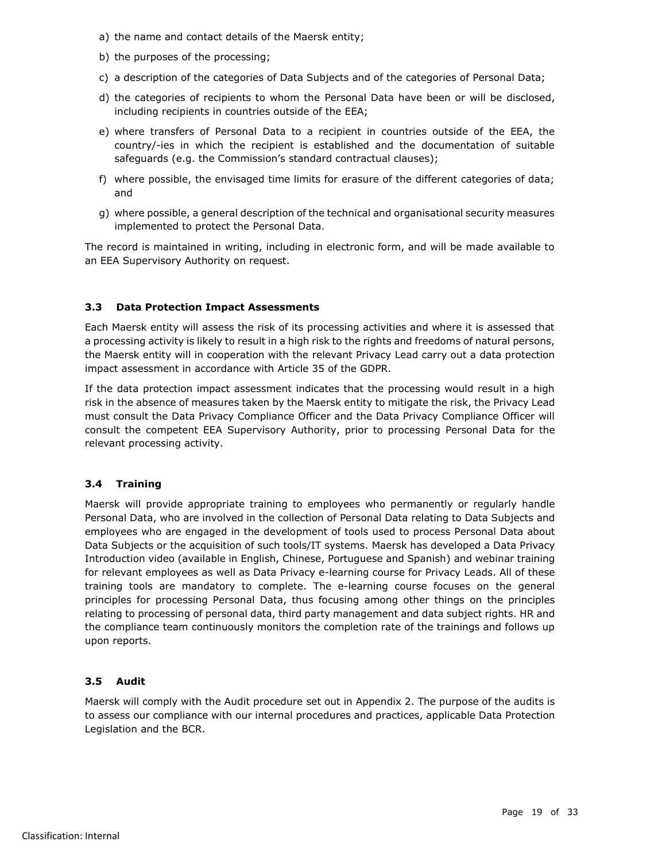- a) the name and contact details of the Maersk entity;
- b) the purposes of the processing;
- c) a description of the categories of Data Subjects and of the categories of Personal Data;
- d) the categories of recipients to whom the Personal Data have been or will be disclosed, including recipients in countries outside of the EEA;
- e) where transfers of Personal Data to a recipient in countries outside of the EEA, the country/-ies in which the recipient is established and the documentation of suitable safeguards (e.g. the Commission's standard contractual clauses);
- f) where possible, the envisaged time limits for erasure of the different categories of data; and
- g) where possible, a general description of the technical and organisational security measures implemented to protect the Personal Data.

The record is maintained in writing, including in electronic form, and will be made available to an EEA Supervisory Authority on request.

# <span id="page-18-0"></span>**3.3 Data Protection Impact Assessments**

Each Maersk entity will assess the risk of its processing activities and where it is assessed that a processing activity is likely to result in a high risk to the rights and freedoms of natural persons, the Maersk entity will in cooperation with the relevant Privacy Lead carry out a data protection impact assessment in accordance with Article 35 of the GDPR.

If the data protection impact assessment indicates that the processing would result in a high risk in the absence of measures taken by the Maersk entity to mitigate the risk, the Privacy Lead must consult the Data Privacy Compliance Officer and the Data Privacy Compliance Officer will consult the competent EEA Supervisory Authority, prior to processing Personal Data for the relevant processing activity.

## <span id="page-18-1"></span>**3.4 Training**

Maersk will provide appropriate training to employees who permanently or regularly handle Personal Data, who are involved in the collection of Personal Data relating to Data Subjects and employees who are engaged in the development of tools used to process Personal Data about Data Subjects or the acquisition of such tools/IT systems. Maersk has developed a Data Privacy Introduction video (available in English, Chinese, Portuguese and Spanish) and webinar training for relevant employees as well as Data Privacy e-learning course for Privacy Leads. All of these training tools are mandatory to complete. The e-learning course focuses on the general principles for processing Personal Data, thus focusing among other things on the principles relating to processing of personal data, third party management and data subject rights. HR and the compliance team continuously monitors the completion rate of the trainings and follows up upon reports.

## <span id="page-18-2"></span>**3.5 Audit**

Maersk will comply with the Audit procedure set out in Appendix 2. The purpose of the audits is to assess our compliance with our internal procedures and practices, applicable Data Protection Legislation and the BCR.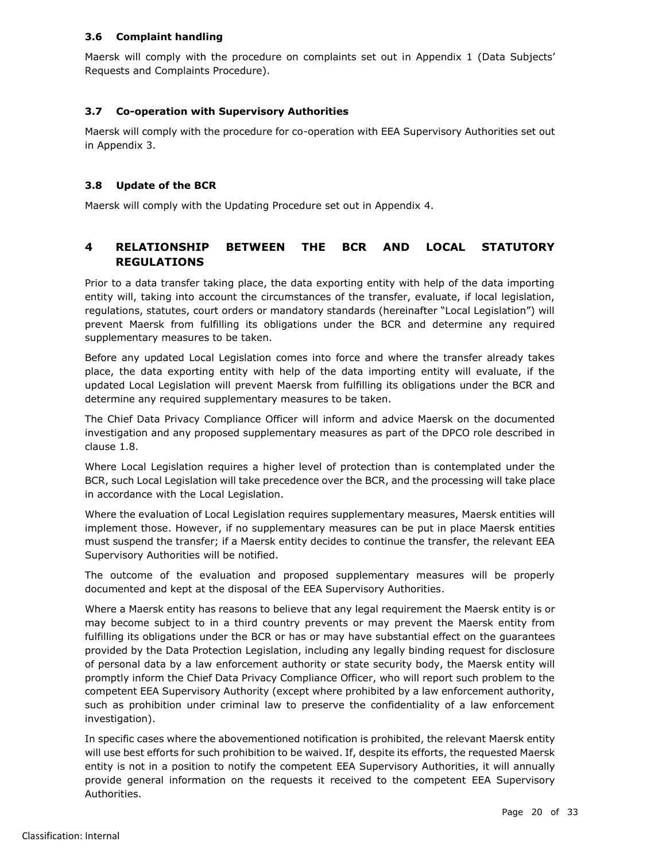## <span id="page-19-0"></span>**3.6 Complaint handling**

Maersk will comply with the procedure on complaints set out in Appendix 1 (Data Subjects' Requests and Complaints Procedure).

## <span id="page-19-1"></span>**3.7 Co-operation with Supervisory Authorities**

Maersk will comply with the procedure for co-operation with EEA Supervisory Authorities set out in Appendix 3.

## <span id="page-19-2"></span>**3.8 Update of the BCR**

Maersk will comply with the Updating Procedure set out in Appendix 4.

# <span id="page-19-3"></span>**4 RELATIONSHIP BETWEEN THE BCR AND LOCAL STATUTORY REGULATIONS**

Prior to a data transfer taking place, the data exporting entity with help of the data importing entity will, taking into account the circumstances of the transfer, evaluate, if local legislation, regulations, statutes, court orders or mandatory standards (hereinafter "Local Legislation") will prevent Maersk from fulfilling its obligations under the BCR and determine any required supplementary measures to be taken.

Before any updated Local Legislation comes into force and where the transfer already takes place, the data exporting entity with help of the data importing entity will evaluate, if the updated Local Legislation will prevent Maersk from fulfilling its obligations under the BCR and determine any required supplementary measures to be taken.

The Chief Data Privacy Compliance Officer will inform and advice Maersk on the documented investigation and any proposed supplementary measures as part of the DPCO role described in clause 1.8.

Where Local Legislation requires a higher level of protection than is contemplated under the BCR, such Local Legislation will take precedence over the BCR, and the processing will take place in accordance with the Local Legislation.

Where the evaluation of Local Legislation requires supplementary measures, Maersk entities will implement those. However, if no supplementary measures can be put in place Maersk entities must suspend the transfer; if a Maersk entity decides to continue the transfer, the relevant EEA Supervisory Authorities will be notified.

The outcome of the evaluation and proposed supplementary measures will be properly documented and kept at the disposal of the EEA Supervisory Authorities.

Where a Maersk entity has reasons to believe that any legal requirement the Maersk entity is or may become subject to in a third country prevents or may prevent the Maersk entity from fulfilling its obligations under the BCR or has or may have substantial effect on the guarantees provided by the Data Protection Legislation, including any legally binding request for disclosure of personal data by a law enforcement authority or state security body, the Maersk entity will promptly inform the Chief Data Privacy Compliance Officer, who will report such problem to the competent EEA Supervisory Authority (except where prohibited by a law enforcement authority, such as prohibition under criminal law to preserve the confidentiality of a law enforcement investigation).

In specific cases where the abovementioned notification is prohibited, the relevant Maersk entity will use best efforts for such prohibition to be waived. If, despite its efforts, the requested Maersk entity is not in a position to notify the competent EEA Supervisory Authorities, it will annually provide general information on the requests it received to the competent EEA Supervisory Authorities.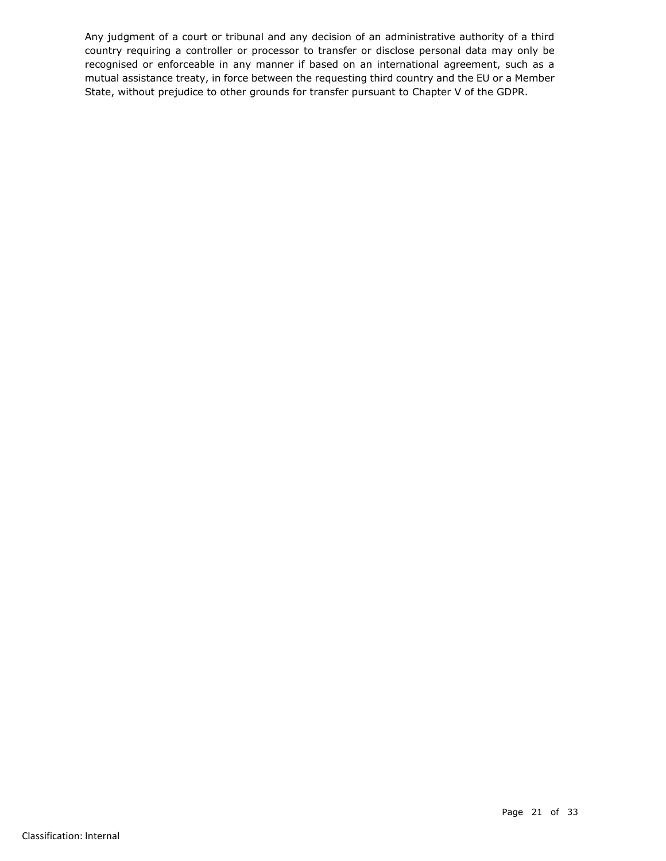Any judgment of a court or tribunal and any decision of an administrative authority of a third country requiring a controller or processor to transfer or disclose personal data may only be recognised or enforceable in any manner if based on an international agreement, such as a mutual assistance treaty, in force between the requesting third country and the EU or a Member State, without prejudice to other grounds for transfer pursuant to Chapter V of the GDPR.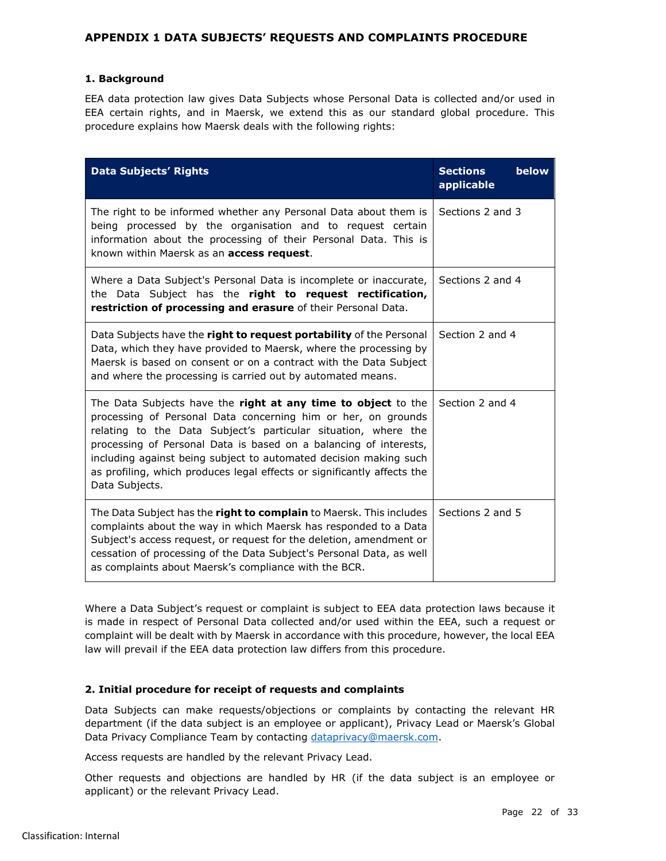## <span id="page-21-0"></span>**APPENDIX 1 DATA SUBJECTS' REQUESTS AND COMPLAINTS PROCEDURE**

## **1. Background**

EEA data protection law gives Data Subjects whose Personal Data is collected and/or used in EEA certain rights, and in Maersk, we extend this as our standard global procedure. This procedure explains how Maersk deals with the following rights:

| <b>Data Subjects' Rights</b>                                                                                                                                                                                                                                                                                                                                                                                                            | below<br><b>Sections</b><br>applicable |
|-----------------------------------------------------------------------------------------------------------------------------------------------------------------------------------------------------------------------------------------------------------------------------------------------------------------------------------------------------------------------------------------------------------------------------------------|----------------------------------------|
| The right to be informed whether any Personal Data about them is<br>being processed by the organisation and to request certain<br>information about the processing of their Personal Data. This is<br>known within Maersk as an <b>access request</b> .                                                                                                                                                                                 | Sections 2 and 3                       |
| Where a Data Subject's Personal Data is incomplete or inaccurate,<br>the Data Subject has the right to request rectification,<br>restriction of processing and erasure of their Personal Data.                                                                                                                                                                                                                                          | Sections 2 and 4                       |
| Data Subjects have the <b>right to request portability</b> of the Personal<br>Data, which they have provided to Maersk, where the processing by<br>Maersk is based on consent or on a contract with the Data Subject<br>and where the processing is carried out by automated means.                                                                                                                                                     | Section 2 and 4                        |
| The Data Subjects have the right at any time to object to the<br>processing of Personal Data concerning him or her, on grounds<br>relating to the Data Subject's particular situation, where the<br>processing of Personal Data is based on a balancing of interests,<br>including against being subject to automated decision making such<br>as profiling, which produces legal effects or significantly affects the<br>Data Subjects. | Section 2 and 4                        |
| The Data Subject has the <b>right to complain</b> to Maersk. This includes<br>complaints about the way in which Maersk has responded to a Data<br>Subject's access request, or request for the deletion, amendment or<br>cessation of processing of the Data Subject's Personal Data, as well<br>as complaints about Maersk's compliance with the BCR.                                                                                  | Sections 2 and 5                       |

Where a Data Subject's request or complaint is subject to EEA data protection laws because it is made in respect of Personal Data collected and/or used within the EEA, such a request or complaint will be dealt with by Maersk in accordance with this procedure, however, the local EEA law will prevail if the EEA data protection law differs from this procedure.

## **2. Initial procedure for receipt of requests and complaints**

Data Subjects can make requests/objections or complaints by contacting the relevant HR department (if the data subject is an employee or applicant), Privacy Lead or Maersk's Global Data Privacy Compliance Team by contacting [dataprivacy@maersk.com.](mailto:dataprivacy@maersk.com)

Access requests are handled by the relevant Privacy Lead.

Other requests and objections are handled by HR (if the data subject is an employee or applicant) or the relevant Privacy Lead.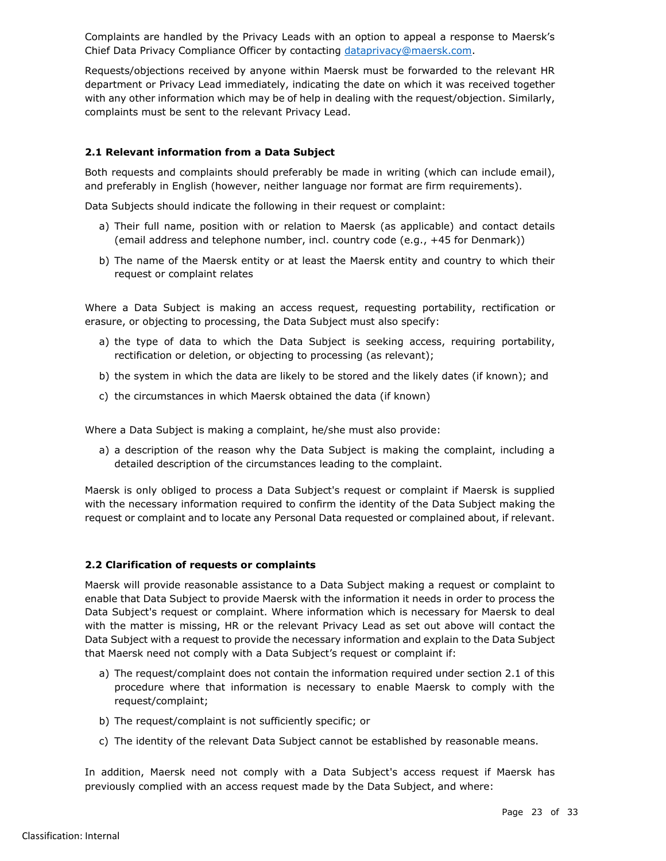Complaints are handled by the Privacy Leads with an option to appeal a response to Maersk's Chief Data Privacy Compliance Officer by contacting [dataprivacy@maersk.com.](mailto:dataprivacy@maersk.com)

Requests/objections received by anyone within Maersk must be forwarded to the relevant HR department or Privacy Lead immediately, indicating the date on which it was received together with any other information which may be of help in dealing with the request/objection. Similarly, complaints must be sent to the relevant Privacy Lead.

## **2.1 Relevant information from a Data Subject**

Both requests and complaints should preferably be made in writing (which can include email), and preferably in English (however, neither language nor format are firm requirements).

Data Subjects should indicate the following in their request or complaint:

- a) Their full name, position with or relation to Maersk (as applicable) and contact details (email address and telephone number, incl. country code (e.g., +45 for Denmark))
- b) The name of the Maersk entity or at least the Maersk entity and country to which their request or complaint relates

Where a Data Subject is making an access request, requesting portability, rectification or erasure, or objecting to processing, the Data Subject must also specify:

- a) the type of data to which the Data Subject is seeking access, requiring portability, rectification or deletion, or objecting to processing (as relevant);
- b) the system in which the data are likely to be stored and the likely dates (if known); and
- c) the circumstances in which Maersk obtained the data (if known)

Where a Data Subject is making a complaint, he/she must also provide:

a) a description of the reason why the Data Subject is making the complaint, including a detailed description of the circumstances leading to the complaint.

Maersk is only obliged to process a Data Subject's request or complaint if Maersk is supplied with the necessary information required to confirm the identity of the Data Subject making the request or complaint and to locate any Personal Data requested or complained about, if relevant.

## **2.2 Clarification of requests or complaints**

Maersk will provide reasonable assistance to a Data Subject making a request or complaint to enable that Data Subject to provide Maersk with the information it needs in order to process the Data Subject's request or complaint. Where information which is necessary for Maersk to deal with the matter is missing, HR or the relevant Privacy Lead as set out above will contact the Data Subject with a request to provide the necessary information and explain to the Data Subject that Maersk need not comply with a Data Subject's request or complaint if:

- a) The request/complaint does not contain the information required under section 2.1 of this procedure where that information is necessary to enable Maersk to comply with the request/complaint;
- b) The request/complaint is not sufficiently specific; or
- c) The identity of the relevant Data Subject cannot be established by reasonable means.

In addition, Maersk need not comply with a Data Subject's access request if Maersk has previously complied with an access request made by the Data Subject, and where: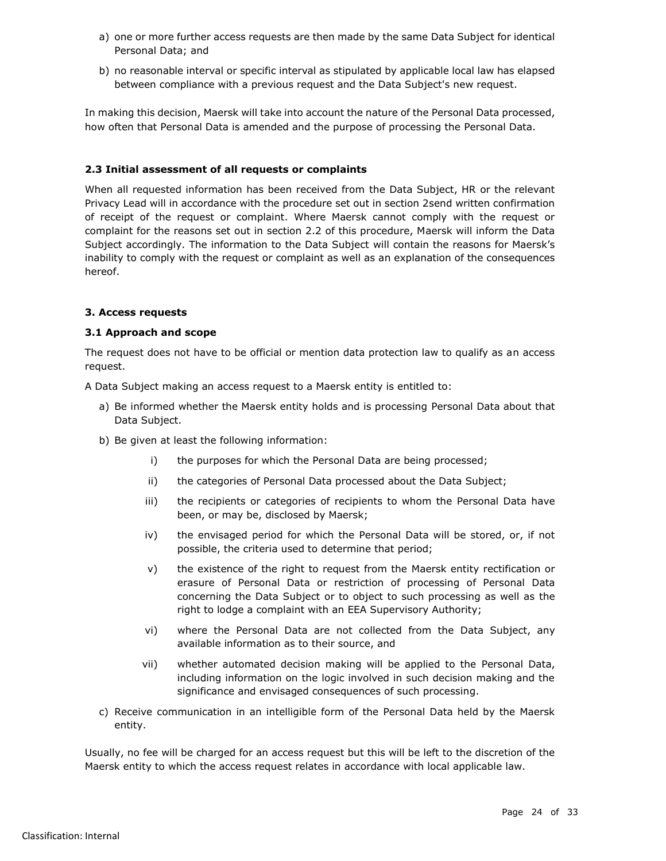- a) one or more further access requests are then made by the same Data Subject for identical Personal Data; and
- b) no reasonable interval or specific interval as stipulated by applicable local law has elapsed between compliance with a previous request and the Data Subject's new request.

In making this decision, Maersk will take into account the nature of the Personal Data processed, how often that Personal Data is amended and the purpose of processing the Personal Data.

## **2.3 Initial assessment of all requests or complaints**

When all requested information has been received from the Data Subject, HR or the relevant Privacy Lead will in accordance with the procedure set out in section 2send written confirmation of receipt of the request or complaint. Where Maersk cannot comply with the request or complaint for the reasons set out in section 2.2 of this procedure, Maersk will inform the Data Subject accordingly. The information to the Data Subject will contain the reasons for Maersk's inability to comply with the request or complaint as well as an explanation of the consequences hereof.

## **3. Access requests**

## **3.1 Approach and scope**

The request does not have to be official or mention data protection law to qualify as an access request.

A Data Subject making an access request to a Maersk entity is entitled to:

- a) Be informed whether the Maersk entity holds and is processing Personal Data about that Data Subject.
- b) Be given at least the following information:
	- i) the purposes for which the Personal Data are being processed;
	- ii) the categories of Personal Data processed about the Data Subject;
	- iii) the recipients or categories of recipients to whom the Personal Data have been, or may be, disclosed by Maersk;
	- iv) the envisaged period for which the Personal Data will be stored, or, if not possible, the criteria used to determine that period;
	- v) the existence of the right to request from the Maersk entity rectification or erasure of Personal Data or restriction of processing of Personal Data concerning the Data Subject or to object to such processing as well as the right to lodge a complaint with an EEA Supervisory Authority;
	- vi) where the Personal Data are not collected from the Data Subject, any available information as to their source, and
	- vii) whether automated decision making will be applied to the Personal Data, including information on the logic involved in such decision making and the significance and envisaged consequences of such processing.
- c) Receive communication in an intelligible form of the Personal Data held by the Maersk entity.

Usually, no fee will be charged for an access request but this will be left to the discretion of the Maersk entity to which the access request relates in accordance with local applicable law.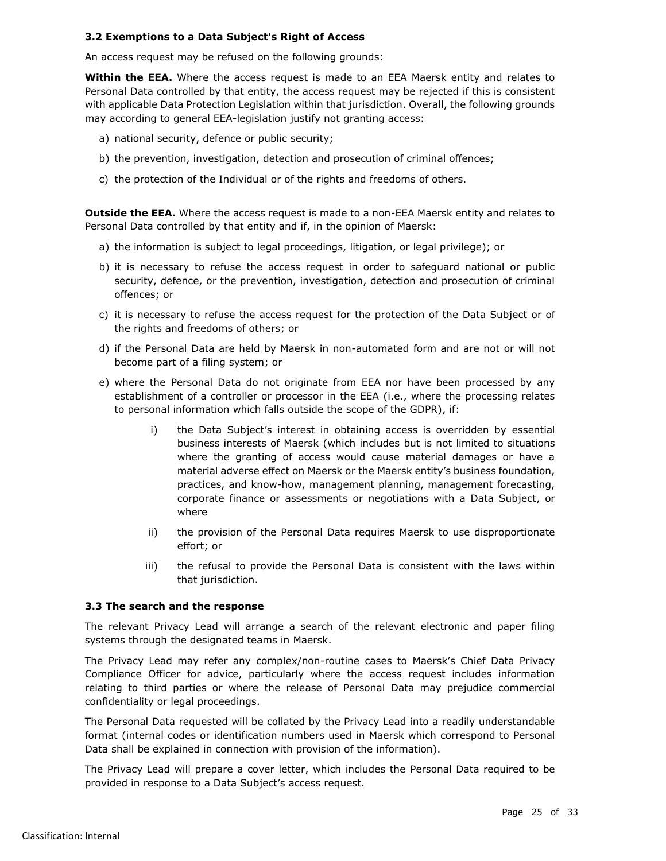## **3.2 Exemptions to a Data Subject's Right of Access**

An access request may be refused on the following grounds:

**Within the EEA.** Where the access request is made to an EEA Maersk entity and relates to Personal Data controlled by that entity, the access request may be rejected if this is consistent with applicable Data Protection Legislation within that jurisdiction. Overall, the following grounds may according to general EEA-legislation justify not granting access:

- a) national security, defence or public security;
- b) the prevention, investigation, detection and prosecution of criminal offences;
- c) the protection of the Individual or of the rights and freedoms of others.

**Outside the EEA.** Where the access request is made to a non-EEA Maersk entity and relates to Personal Data controlled by that entity and if, in the opinion of Maersk:

- a) the information is subject to legal proceedings, litigation, or legal privilege); or
- b) it is necessary to refuse the access request in order to safeguard national or public security, defence, or the prevention, investigation, detection and prosecution of criminal offences; or
- c) it is necessary to refuse the access request for the protection of the Data Subject or of the rights and freedoms of others; or
- d) if the Personal Data are held by Maersk in non-automated form and are not or will not become part of a filing system; or
- e) where the Personal Data do not originate from EEA nor have been processed by any establishment of a controller or processor in the EEA (i.e., where the processing relates to personal information which falls outside the scope of the GDPR), if:
	- i) the Data Subject's interest in obtaining access is overridden by essential business interests of Maersk (which includes but is not limited to situations where the granting of access would cause material damages or have a material adverse effect on Maersk or the Maersk entity's business foundation, practices, and know-how, management planning, management forecasting, corporate finance or assessments or negotiations with a Data Subject, or where
	- ii) the provision of the Personal Data requires Maersk to use disproportionate effort; or
	- iii) the refusal to provide the Personal Data is consistent with the laws within that jurisdiction.

## **3.3 The search and the response**

The relevant Privacy Lead will arrange a search of the relevant electronic and paper filing systems through the designated teams in Maersk.

The Privacy Lead may refer any complex/non-routine cases to Maersk's Chief Data Privacy Compliance Officer for advice, particularly where the access request includes information relating to third parties or where the release of Personal Data may prejudice commercial confidentiality or legal proceedings.

The Personal Data requested will be collated by the Privacy Lead into a readily understandable format (internal codes or identification numbers used in Maersk which correspond to Personal Data shall be explained in connection with provision of the information).

The Privacy Lead will prepare a cover letter, which includes the Personal Data required to be provided in response to a Data Subject's access request.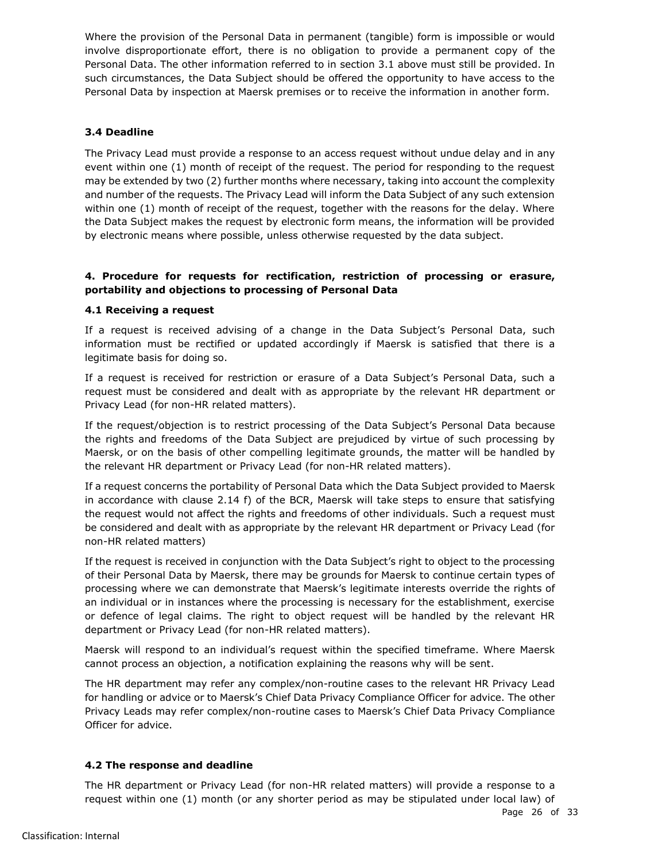Where the provision of the Personal Data in permanent (tangible) form is impossible or would involve disproportionate effort, there is no obligation to provide a permanent copy of the Personal Data. The other information referred to in section 3.1 above must still be provided. In such circumstances, the Data Subject should be offered the opportunity to have access to the Personal Data by inspection at Maersk premises or to receive the information in another form.

# **3.4 Deadline**

The Privacy Lead must provide a response to an access request without undue delay and in any event within one (1) month of receipt of the request. The period for responding to the request may be extended by two (2) further months where necessary, taking into account the complexity and number of the requests. The Privacy Lead will inform the Data Subject of any such extension within one (1) month of receipt of the request, together with the reasons for the delay. Where the Data Subject makes the request by electronic form means, the information will be provided by electronic means where possible, unless otherwise requested by the data subject.

## **4. Procedure for requests for rectification, restriction of processing or erasure, portability and objections to processing of Personal Data**

## **4.1 Receiving a request**

If a request is received advising of a change in the Data Subject's Personal Data, such information must be rectified or updated accordingly if Maersk is satisfied that there is a legitimate basis for doing so.

If a request is received for restriction or erasure of a Data Subject's Personal Data, such a request must be considered and dealt with as appropriate by the relevant HR department or Privacy Lead (for non-HR related matters).

If the request/objection is to restrict processing of the Data Subject's Personal Data because the rights and freedoms of the Data Subject are prejudiced by virtue of such processing by Maersk, or on the basis of other compelling legitimate grounds, the matter will be handled by the relevant HR department or Privacy Lead (for non-HR related matters).

If a request concerns the portability of Personal Data which the Data Subject provided to Maersk in accordance with clause [2.14](#page-16-0) [f\)](#page-17-3) of the BCR, Maersk will take steps to ensure that satisfying the request would not affect the rights and freedoms of other individuals. Such a request must be considered and dealt with as appropriate by the relevant HR department or Privacy Lead (for non-HR related matters)

If the request is received in conjunction with the Data Subject's right to object to the processing of their Personal Data by Maersk, there may be grounds for Maersk to continue certain types of processing where we can demonstrate that Maersk's legitimate interests override the rights of an individual or in instances where the processing is necessary for the establishment, exercise or defence of legal claims. The right to object request will be handled by the relevant HR department or Privacy Lead (for non-HR related matters).

Maersk will respond to an individual's request within the specified timeframe. Where Maersk cannot process an objection, a notification explaining the reasons why will be sent.

The HR department may refer any complex/non-routine cases to the relevant HR Privacy Lead for handling or advice or to Maersk's Chief Data Privacy Compliance Officer for advice. The other Privacy Leads may refer complex/non-routine cases to Maersk's Chief Data Privacy Compliance Officer for advice.

## **4.2 The response and deadline**

The HR department or Privacy Lead (for non-HR related matters) will provide a response to a request within one (1) month (or any shorter period as may be stipulated under local law) of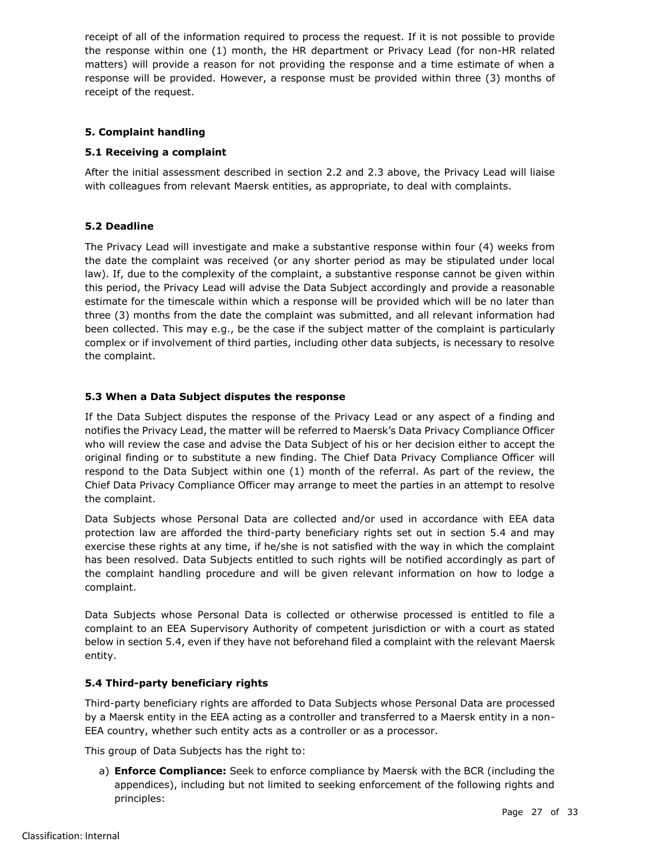receipt of all of the information required to process the request. If it is not possible to provide the response within one (1) month, the HR department or Privacy Lead (for non-HR related matters) will provide a reason for not providing the response and a time estimate of when a response will be provided. However, a response must be provided within three (3) months of receipt of the request.

# **5. Complaint handling**

## **5.1 Receiving a complaint**

After the initial assessment described in section 2.2 and 2.3 above, the Privacy Lead will liaise with colleagues from relevant Maersk entities, as appropriate, to deal with complaints.

## **5.2 Deadline**

The Privacy Lead will investigate and make a substantive response within four (4) weeks from the date the complaint was received (or any shorter period as may be stipulated under local law). If, due to the complexity of the complaint, a substantive response cannot be given within this period, the Privacy Lead will advise the Data Subject accordingly and provide a reasonable estimate for the timescale within which a response will be provided which will be no later than three (3) months from the date the complaint was submitted, and all relevant information had been collected. This may e.g., be the case if the subject matter of the complaint is particularly complex or if involvement of third parties, including other data subjects, is necessary to resolve the complaint.

## **5.3 When a Data Subject disputes the response**

If the Data Subject disputes the response of the Privacy Lead or any aspect of a finding and notifies the Privacy Lead, the matter will be referred to Maersk's Data Privacy Compliance Officer who will review the case and advise the Data Subject of his or her decision either to accept the original finding or to substitute a new finding. The Chief Data Privacy Compliance Officer will respond to the Data Subject within one (1) month of the referral. As part of the review, the Chief Data Privacy Compliance Officer may arrange to meet the parties in an attempt to resolve the complaint.

Data Subjects whose Personal Data are collected and/or used in accordance with EEA data protection law are afforded the third-party beneficiary rights set out in section 5.4 and may exercise these rights at any time, if he/she is not satisfied with the way in which the complaint has been resolved. Data Subjects entitled to such rights will be notified accordingly as part of the complaint handling procedure and will be given relevant information on how to lodge a complaint.

Data Subjects whose Personal Data is collected or otherwise processed is entitled to file a complaint to an EEA Supervisory Authority of competent jurisdiction or with a court as stated below in section 5.4, even if they have not beforehand filed a complaint with the relevant Maersk entity.

## **5.4 Third-party beneficiary rights**

Third-party beneficiary rights are afforded to Data Subjects whose Personal Data are processed by a Maersk entity in the EEA acting as a controller and transferred to a Maersk entity in a non-EEA country, whether such entity acts as a controller or as a processor.

This group of Data Subjects has the right to:

a) **Enforce Compliance:** Seek to enforce compliance by Maersk with the BCR (including the appendices), including but not limited to seeking enforcement of the following rights and principles: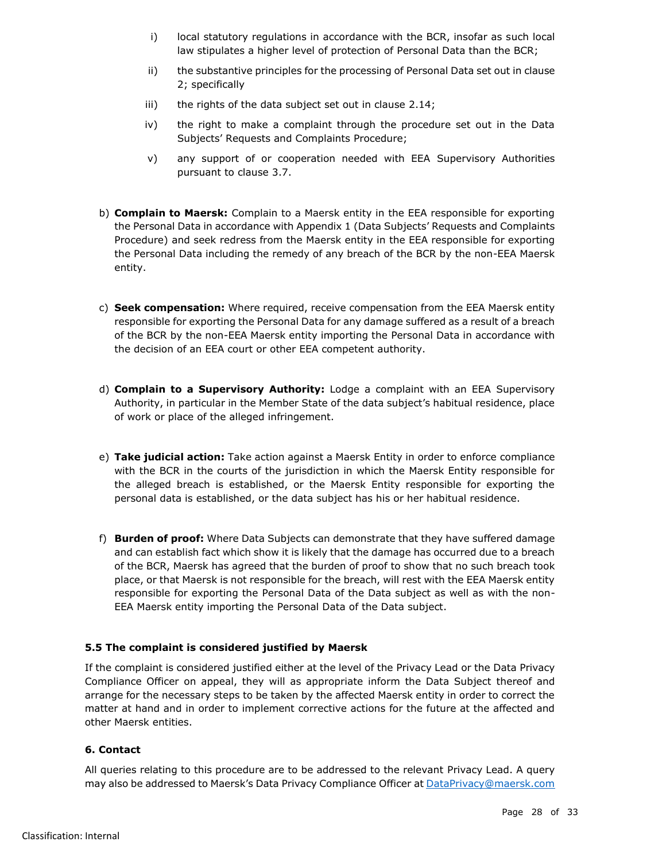- i) local statutory regulations in accordance with the BCR, insofar as such local law stipulates a higher level of protection of Personal Data than the BCR;
- ii) the substantive principles for the processing of Personal Data set out in clause [2;](#page-9-0) specifically
- iii) the rights of the data subject set out in clause [2.14;](#page-16-0)
- iv) the right to make a complaint through the procedure set out in the Data Subjects' Requests and Complaints Procedure;
- v) any support of or cooperation needed with EEA Supervisory Authorities pursuant to clause [3.7.](#page-19-1)
- b) **Complain to Maersk:** Complain to a Maersk entity in the EEA responsible for exporting the Personal Data in accordance with Appendix 1 (Data Subjects' Requests and Complaints Procedure) and seek redress from the Maersk entity in the EEA responsible for exporting the Personal Data including the remedy of any breach of the BCR by the non-EEA Maersk entity.
- c) **Seek compensation:** Where required, receive compensation from the EEA Maersk entity responsible for exporting the Personal Data for any damage suffered as a result of a breach of the BCR by the non-EEA Maersk entity importing the Personal Data in accordance with the decision of an EEA court or other EEA competent authority.
- d) **Complain to a Supervisory Authority:** Lodge a complaint with an EEA Supervisory Authority, in particular in the Member State of the data subject's habitual residence, place of work or place of the alleged infringement.
- e) **Take judicial action:** Take action against a Maersk Entity in order to enforce compliance with the BCR in the courts of the jurisdiction in which the Maersk Entity responsible for the alleged breach is established, or the Maersk Entity responsible for exporting the personal data is established, or the data subject has his or her habitual residence.
- f) **Burden of proof:** Where Data Subjects can demonstrate that they have suffered damage and can establish fact which show it is likely that the damage has occurred due to a breach of the BCR, Maersk has agreed that the burden of proof to show that no such breach took place, or that Maersk is not responsible for the breach, will rest with the EEA Maersk entity responsible for exporting the Personal Data of the Data subject as well as with the non-EEA Maersk entity importing the Personal Data of the Data subject.

## **5.5 The complaint is considered justified by Maersk**

If the complaint is considered justified either at the level of the Privacy Lead or the Data Privacy Compliance Officer on appeal, they will as appropriate inform the Data Subject thereof and arrange for the necessary steps to be taken by the affected Maersk entity in order to correct the matter at hand and in order to implement corrective actions for the future at the affected and other Maersk entities.

## **6. Contact**

All queries relating to this procedure are to be addressed to the relevant Privacy Lead. A query may also be addressed to Maersk's Data Privacy Compliance Officer at [DataPrivacy@maersk.com](mailto:DataPrivacy@maersk.com)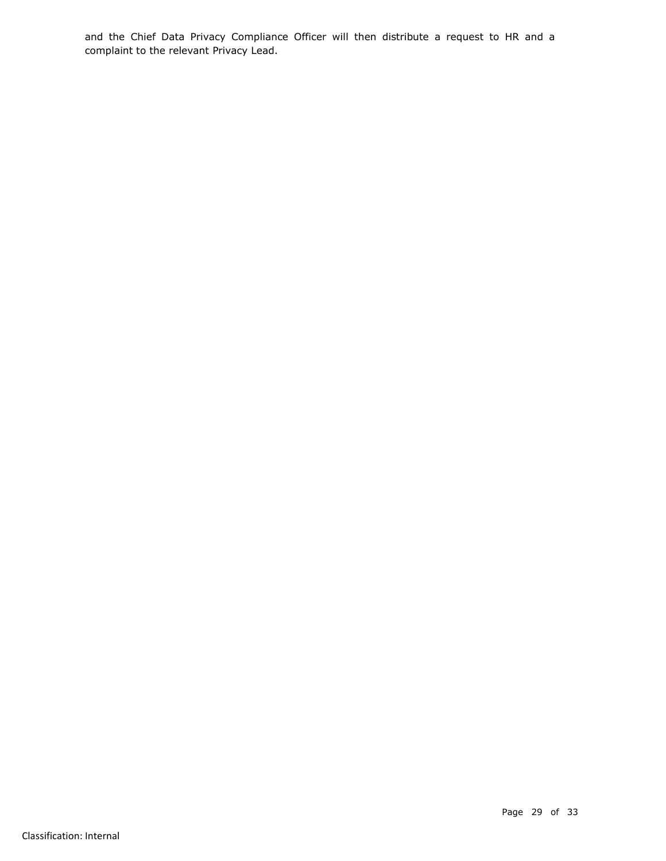and the Chief Data Privacy Compliance Officer will then distribute a request to HR and a complaint to the relevant Privacy Lead.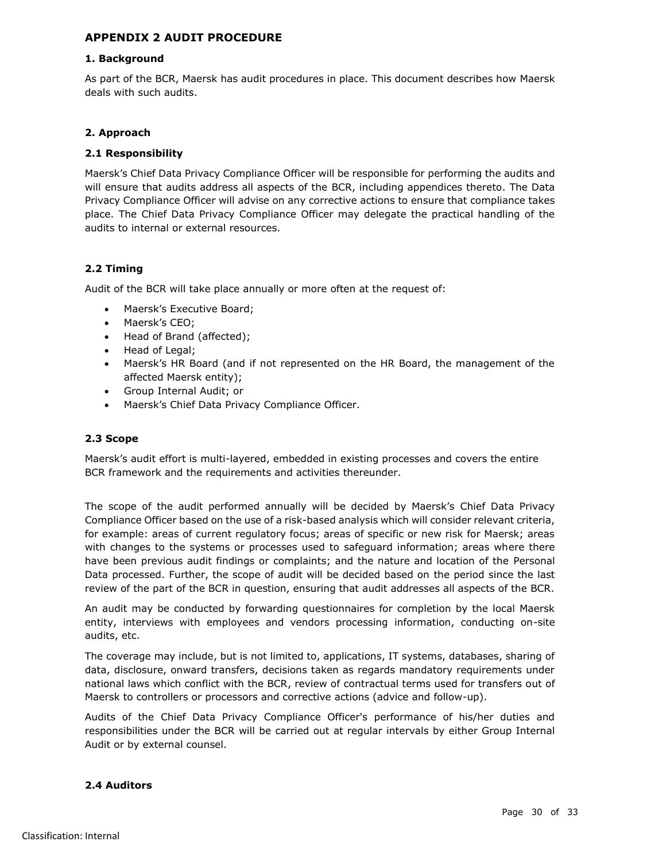## <span id="page-29-0"></span>**APPENDIX 2 AUDIT PROCEDURE**

#### **1. Background**

As part of the BCR, Maersk has audit procedures in place. This document describes how Maersk deals with such audits.

## **2. Approach**

## **2.1 Responsibility**

Maersk's Chief Data Privacy Compliance Officer will be responsible for performing the audits and will ensure that audits address all aspects of the BCR, including appendices thereto. The Data Privacy Compliance Officer will advise on any corrective actions to ensure that compliance takes place. The Chief Data Privacy Compliance Officer may delegate the practical handling of the audits to internal or external resources.

## **2.2 Timing**

Audit of the BCR will take place annually or more often at the request of:

- Maersk's Executive Board;
- Maersk's CEO;
- Head of Brand (affected);
- Head of Legal;
- Maersk's HR Board (and if not represented on the HR Board, the management of the affected Maersk entity);
- Group Internal Audit; or
- Maersk's Chief Data Privacy Compliance Officer.

## **2.3 Scope**

Maersk's audit effort is multi-layered, embedded in existing processes and covers the entire BCR framework and the requirements and activities thereunder.

The scope of the audit performed annually will be decided by Maersk's Chief Data Privacy Compliance Officer based on the use of a risk-based analysis which will consider relevant criteria, for example: areas of current regulatory focus; areas of specific or new risk for Maersk; areas with changes to the systems or processes used to safeguard information; areas where there have been previous audit findings or complaints; and the nature and location of the Personal Data processed. Further, the scope of audit will be decided based on the period since the last review of the part of the BCR in question, ensuring that audit addresses all aspects of the BCR.

An audit may be conducted by forwarding questionnaires for completion by the local Maersk entity, interviews with employees and vendors processing information, conducting on-site audits, etc.

The coverage may include, but is not limited to, applications, IT systems, databases, sharing of data, disclosure, onward transfers, decisions taken as regards mandatory requirements under national laws which conflict with the BCR, review of contractual terms used for transfers out of Maersk to controllers or processors and corrective actions (advice and follow-up).

Audits of the Chief Data Privacy Compliance Officer's performance of his/her duties and responsibilities under the BCR will be carried out at regular intervals by either Group Internal Audit or by external counsel.

## **2.4 Auditors**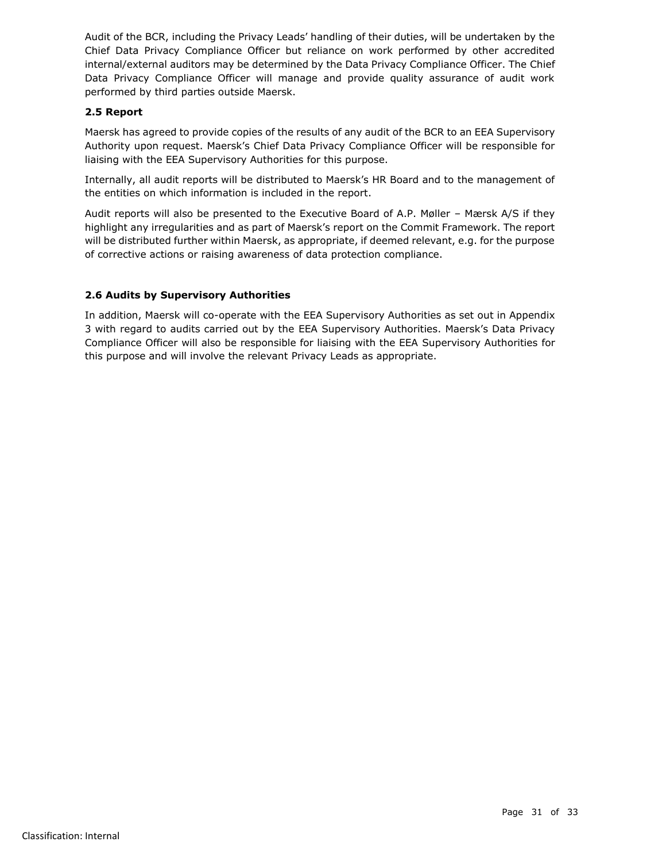Audit of the BCR, including the Privacy Leads' handling of their duties, will be undertaken by the Chief Data Privacy Compliance Officer but reliance on work performed by other accredited internal/external auditors may be determined by the Data Privacy Compliance Officer. The Chief Data Privacy Compliance Officer will manage and provide quality assurance of audit work performed by third parties outside Maersk.

## **2.5 Report**

Maersk has agreed to provide copies of the results of any audit of the BCR to an EEA Supervisory Authority upon request. Maersk's Chief Data Privacy Compliance Officer will be responsible for liaising with the EEA Supervisory Authorities for this purpose.

Internally, all audit reports will be distributed to Maersk's HR Board and to the management of the entities on which information is included in the report.

Audit reports will also be presented to the Executive Board of A.P. Møller – Mærsk A/S if they highlight any irregularities and as part of Maersk's report on the Commit Framework. The report will be distributed further within Maersk, as appropriate, if deemed relevant, e.g. for the purpose of corrective actions or raising awareness of data protection compliance.

# **2.6 Audits by Supervisory Authorities**

In addition, Maersk will co-operate with the EEA Supervisory Authorities as set out in Appendix 3 with regard to audits carried out by the EEA Supervisory Authorities. Maersk's Data Privacy Compliance Officer will also be responsible for liaising with the EEA Supervisory Authorities for this purpose and will involve the relevant Privacy Leads as appropriate.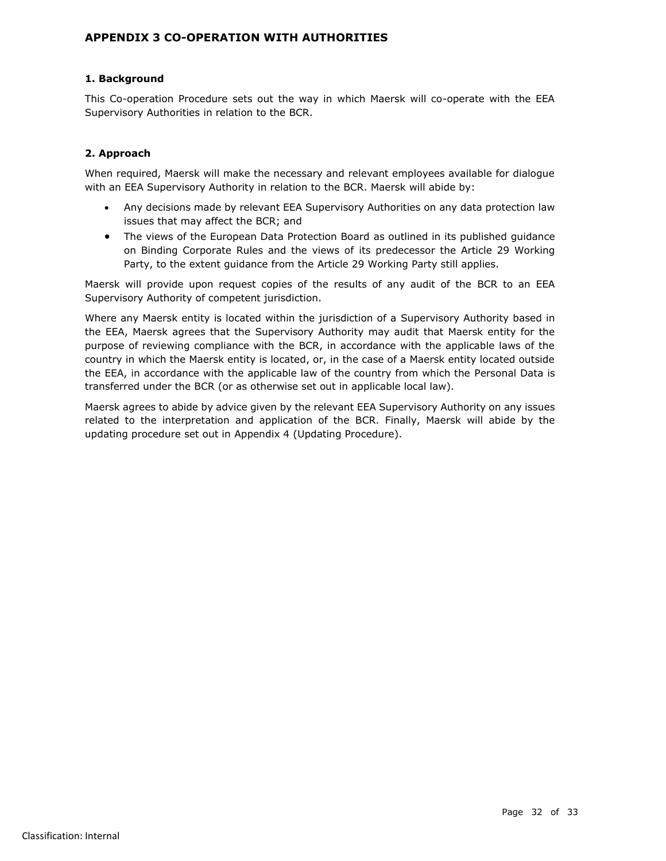## <span id="page-31-0"></span>**APPENDIX 3 CO-OPERATION WITH AUTHORITIES**

## **1. Background**

This Co-operation Procedure sets out the way in which Maersk will co-operate with the EEA Supervisory Authorities in relation to the BCR.

## **2. Approach**

When required, Maersk will make the necessary and relevant employees available for dialogue with an EEA Supervisory Authority in relation to the BCR. Maersk will abide by:

- Any decisions made by relevant EEA Supervisory Authorities on any data protection law issues that may affect the BCR; and
- The views of the European Data Protection Board as outlined in its published quidance on Binding Corporate Rules and the views of its predecessor the Article 29 Working Party, to the extent guidance from the Article 29 Working Party still applies.

Maersk will provide upon request copies of the results of any audit of the BCR to an EEA Supervisory Authority of competent jurisdiction.

Where any Maersk entity is located within the jurisdiction of a Supervisory Authority based in the EEA, Maersk agrees that the Supervisory Authority may audit that Maersk entity for the purpose of reviewing compliance with the BCR, in accordance with the applicable laws of the country in which the Maersk entity is located, or, in the case of a Maersk entity located outside the EEA, in accordance with the applicable law of the country from which the Personal Data is transferred under the BCR (or as otherwise set out in applicable local law).

Maersk agrees to abide by advice given by the relevant EEA Supervisory Authority on any issues related to the interpretation and application of the BCR. Finally, Maersk will abide by the updating procedure set out in Appendix 4 (Updating Procedure).